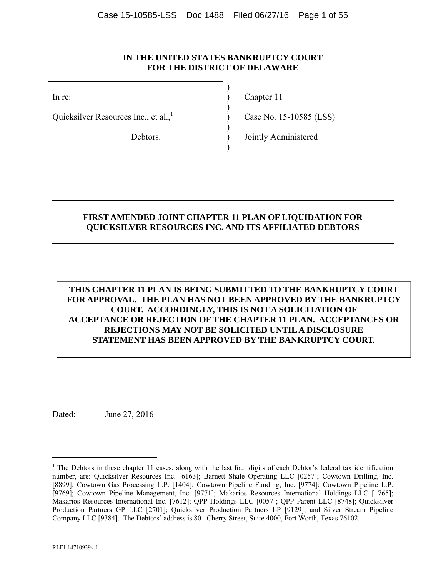#### **IN THE UNITED STATES BANKRUPTCY COURT FOR THE DISTRICT OF DELAWARE**

 $)$ Ouicksilver Resources Inc., et al., $\frac{1}{2}$  (Case No. 15-10585 (LSS)

 $)$ 

 $)$ 

 $)$ 

In re: (a) Chapter 11

Debtors. ) Jointly Administered

#### **FIRST AMENDED JOINT CHAPTER 11 PLAN OF LIQUIDATION FOR QUICKSILVER RESOURCES INC. AND ITS AFFILIATED DEBTORS**

# **THIS CHAPTER 11 PLAN IS BEING SUBMITTED TO THE BANKRUPTCY COURT FOR APPROVAL. THE PLAN HAS NOT BEEN APPROVED BY THE BANKRUPTCY COURT. ACCORDINGLY, THIS IS NOT A SOLICITATION OF ACCEPTANCE OR REJECTION OF THE CHAPTER 11 PLAN. ACCEPTANCES OR REJECTIONS MAY NOT BE SOLICITED UNTIL A DISCLOSURE STATEMENT HAS BEEN APPROVED BY THE BANKRUPTCY COURT.**

Dated: June 27, 2016

 $\overline{a}$ 

<sup>&</sup>lt;sup>1</sup> The Debtors in these chapter 11 cases, along with the last four digits of each Debtor's federal tax identification number, are: Quicksilver Resources Inc. [6163]; Barnett Shale Operating LLC [0257]; Cowtown Drilling, Inc. [8899]; Cowtown Gas Processing L.P. [1404]; Cowtown Pipeline Funding, Inc. [9774]; Cowtown Pipeline L.P. [9769]; Cowtown Pipeline Management, Inc. [9771]; Makarios Resources International Holdings LLC [1765]; Makarios Resources International Inc. [7612]; QPP Holdings LLC [0057]; QPP Parent LLC [8748]; Quicksilver Production Partners GP LLC [2701]; Quicksilver Production Partners LP [9129]; and Silver Stream Pipeline Company LLC [9384]. The Debtors' address is 801 Cherry Street, Suite 4000, Fort Worth, Texas 76102.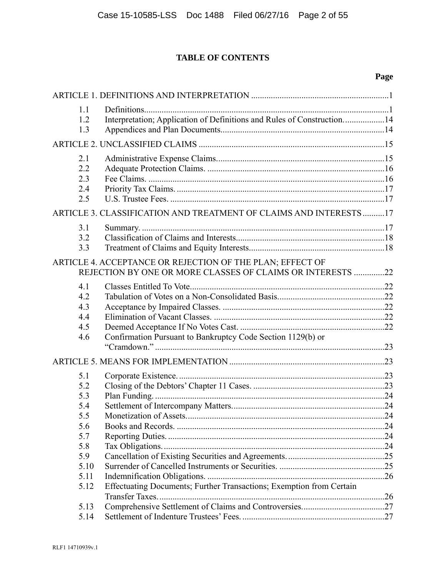# **TABLE OF CONTENTS**

# **Page**

| 1.1<br>1.2<br>1.3                      | Interpretation; Application of Definitions and Rules of Construction14                                                  |  |
|----------------------------------------|-------------------------------------------------------------------------------------------------------------------------|--|
|                                        |                                                                                                                         |  |
| 2.1<br>2.2<br>2.3<br>2.4<br>2.5        |                                                                                                                         |  |
|                                        | ARTICLE 3. CLASSIFICATION AND TREATMENT OF CLAIMS AND INTERESTS 17                                                      |  |
| 3.1<br>3.2<br>3.3                      |                                                                                                                         |  |
|                                        | ARTICLE 4. ACCEPTANCE OR REJECTION OF THE PLAN; EFFECT OF<br>REJECTION BY ONE OR MORE CLASSES OF CLAIMS OR INTERESTS 22 |  |
| 4.1<br>4.2<br>4.3<br>4.4<br>4.5<br>4.6 | Confirmation Pursuant to Bankruptcy Code Section 1129(b) or                                                             |  |
|                                        |                                                                                                                         |  |
| 5.1<br>5.2<br>5.3<br>5.4               |                                                                                                                         |  |
| 5.5<br>5.6<br>5.7                      |                                                                                                                         |  |
| 5.8<br>5.9<br>5.10                     |                                                                                                                         |  |
| 5.11<br>5.12                           | Effectuating Documents; Further Transactions; Exemption from Certain                                                    |  |
| 5.13<br>5.14                           |                                                                                                                         |  |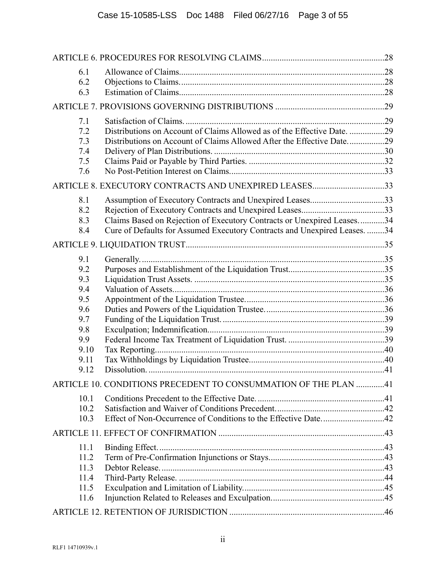| 6.1  |                                                                           |  |
|------|---------------------------------------------------------------------------|--|
| 6.2  |                                                                           |  |
| 6.3  |                                                                           |  |
|      |                                                                           |  |
| 7.1  |                                                                           |  |
| 7.2  | Distributions on Account of Claims Allowed as of the Effective Date. 29   |  |
| 7.3  |                                                                           |  |
| 7.4  |                                                                           |  |
| 7.5  |                                                                           |  |
| 7.6  |                                                                           |  |
|      | ARTICLE 8. EXECUTORY CONTRACTS AND UNEXPIRED LEASES33                     |  |
| 8.1  | Assumption of Executory Contracts and Unexpired Leases33                  |  |
| 8.2  |                                                                           |  |
| 8.3  | Claims Based on Rejection of Executory Contracts or Unexpired Leases34    |  |
| 8.4  | Cure of Defaults for Assumed Executory Contracts and Unexpired Leases. 34 |  |
|      |                                                                           |  |
| 9.1  |                                                                           |  |
| 9.2  |                                                                           |  |
| 9.3  |                                                                           |  |
| 9.4  |                                                                           |  |
| 9.5  |                                                                           |  |
| 9.6  |                                                                           |  |
| 9.7  |                                                                           |  |
| 9.8  |                                                                           |  |
| 9.9  |                                                                           |  |
| 9.10 |                                                                           |  |
| 9.11 |                                                                           |  |
| 9.12 |                                                                           |  |
|      | ARTICLE 10. CONDITIONS PRECEDENT TO CONSUMMATION OF THE PLAN 41           |  |
| 10.1 |                                                                           |  |
| 10.2 |                                                                           |  |
| 10.3 |                                                                           |  |
|      |                                                                           |  |
| 11.1 |                                                                           |  |
| 11.2 |                                                                           |  |
| 11.3 |                                                                           |  |
| 11.4 |                                                                           |  |
| 11.5 |                                                                           |  |
| 11.6 |                                                                           |  |
|      |                                                                           |  |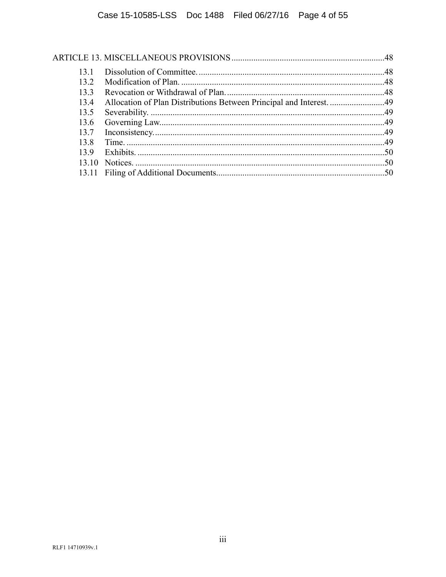| 131   |                                                                     |  |
|-------|---------------------------------------------------------------------|--|
| 132   |                                                                     |  |
| 133   |                                                                     |  |
| 13.4  | Allocation of Plan Distributions Between Principal and Interest. 49 |  |
| 13.5  |                                                                     |  |
| 13.6  |                                                                     |  |
| 13.7  |                                                                     |  |
| 13.8  |                                                                     |  |
| 139   |                                                                     |  |
|       |                                                                     |  |
| 13 11 |                                                                     |  |
|       |                                                                     |  |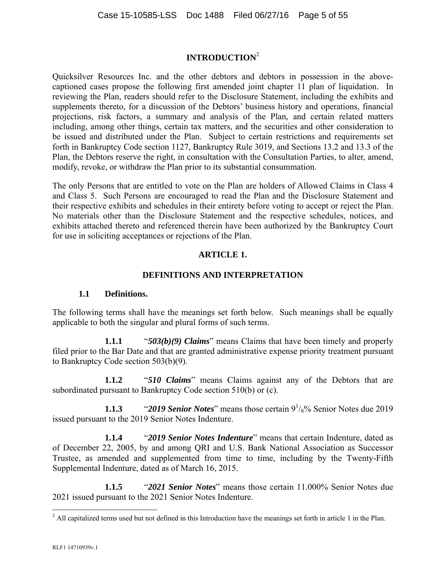# **INTRODUCTION**<sup>2</sup>

Quicksilver Resources Inc. and the other debtors and debtors in possession in the abovecaptioned cases propose the following first amended joint chapter 11 plan of liquidation. In reviewing the Plan, readers should refer to the Disclosure Statement, including the exhibits and supplements thereto, for a discussion of the Debtors' business history and operations, financial projections, risk factors, a summary and analysis of the Plan, and certain related matters including, among other things, certain tax matters, and the securities and other consideration to be issued and distributed under the Plan. Subject to certain restrictions and requirements set forth in Bankruptcy Code section 1127, Bankruptcy Rule 3019, and Sections 13.2 and 13.3 of the Plan, the Debtors reserve the right, in consultation with the Consultation Parties, to alter, amend, modify, revoke, or withdraw the Plan prior to its substantial consummation.

The only Persons that are entitled to vote on the Plan are holders of Allowed Claims in Class 4 and Class 5. Such Persons are encouraged to read the Plan and the Disclosure Statement and their respective exhibits and schedules in their entirety before voting to accept or reject the Plan. No materials other than the Disclosure Statement and the respective schedules, notices, and exhibits attached thereto and referenced therein have been authorized by the Bankruptcy Court for use in soliciting acceptances or rejections of the Plan.

## **ARTICLE 1.**

## **DEFINITIONS AND INTERPRETATION**

## **1.1 Definitions.**

The following terms shall have the meanings set forth below. Such meanings shall be equally applicable to both the singular and plural forms of such terms.

**1.1.1** "*503(b)(9) Claims*" means Claims that have been timely and properly filed prior to the Bar Date and that are granted administrative expense priority treatment pursuant to Bankruptcy Code section 503(b)(9).

**1.1.2** "*510 Claims*" means Claims against any of the Debtors that are subordinated pursuant to Bankruptcy Code section 510(b) or (c).

**1.1.3** "*2019 Senior Notes*" means those certain  $9\frac{1}{8}\%$  Senior Notes due 2019 issued pursuant to the 2019 Senior Notes Indenture.

**1.1.4** "*2019 Senior Notes Indenture*" means that certain Indenture, dated as of December 22, 2005, by and among QRI and U.S. Bank National Association as Successor Trustee, as amended and supplemented from time to time, including by the Twenty-Fifth Supplemental Indenture, dated as of March 16, 2015.

**1.1.5** "*2021 Senior Notes*" means those certain 11.000% Senior Notes due 2021 issued pursuant to the 2021 Senior Notes Indenture.

<sup>&</sup>lt;sup>2</sup> All capitalized terms used but not defined in this Introduction have the meanings set forth in article 1 in the Plan.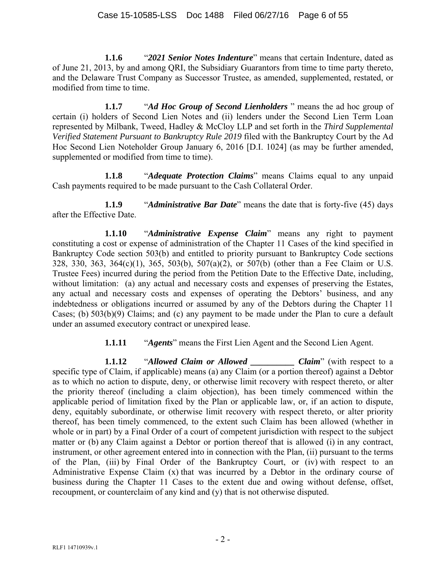**1.1.6** "*2021 Senior Notes Indenture*" means that certain Indenture, dated as of June 21, 2013, by and among QRI, the Subsidiary Guarantors from time to time party thereto, and the Delaware Trust Company as Successor Trustee, as amended, supplemented, restated, or modified from time to time.

**1.1.7** "*Ad Hoc Group of Second Lienholders* " means the ad hoc group of certain (i) holders of Second Lien Notes and (ii) lenders under the Second Lien Term Loan represented by Milbank, Tweed, Hadley & McCloy LLP and set forth in the *Third Supplemental Verified Statement Pursuant to Bankruptcy Rule 2019* filed with the Bankruptcy Court by the Ad Hoc Second Lien Noteholder Group January 6, 2016 [D.I. 1024] (as may be further amended, supplemented or modified from time to time).

**1.1.8** "*Adequate Protection Claims*" means Claims equal to any unpaid Cash payments required to be made pursuant to the Cash Collateral Order.

**1.1.9** "*Administrative Bar Date*" means the date that is forty-five (45) days after the Effective Date.

**1.1.10** "*Administrative Expense Claim*" means any right to payment constituting a cost or expense of administration of the Chapter 11 Cases of the kind specified in Bankruptcy Code section 503(b) and entitled to priority pursuant to Bankruptcy Code sections 328, 330, 363, 364(c)(1), 365, 503(b), 507(a)(2), or 507(b) (other than a Fee Claim or U.S. Trustee Fees) incurred during the period from the Petition Date to the Effective Date, including, without limitation: (a) any actual and necessary costs and expenses of preserving the Estates, any actual and necessary costs and expenses of operating the Debtors' business, and any indebtedness or obligations incurred or assumed by any of the Debtors during the Chapter 11 Cases; (b) 503(b)(9) Claims; and (c) any payment to be made under the Plan to cure a default under an assumed executory contract or unexpired lease.

**1.1.11** "*Agents*" means the First Lien Agent and the Second Lien Agent.

**1.1.12** "*Allowed Claim or Allowed \_\_\_\_\_\_\_\_\_\_ Claim*" (with respect to a specific type of Claim, if applicable) means (a) any Claim (or a portion thereof) against a Debtor as to which no action to dispute, deny, or otherwise limit recovery with respect thereto, or alter the priority thereof (including a claim objection), has been timely commenced within the applicable period of limitation fixed by the Plan or applicable law, or, if an action to dispute, deny, equitably subordinate, or otherwise limit recovery with respect thereto, or alter priority thereof, has been timely commenced, to the extent such Claim has been allowed (whether in whole or in part) by a Final Order of a court of competent jurisdiction with respect to the subject matter or (b) any Claim against a Debtor or portion thereof that is allowed (i) in any contract, instrument, or other agreement entered into in connection with the Plan, (ii) pursuant to the terms of the Plan, (iii) by Final Order of the Bankruptcy Court, or (iv) with respect to an Administrative Expense Claim (x) that was incurred by a Debtor in the ordinary course of business during the Chapter 11 Cases to the extent due and owing without defense, offset, recoupment, or counterclaim of any kind and (y) that is not otherwise disputed.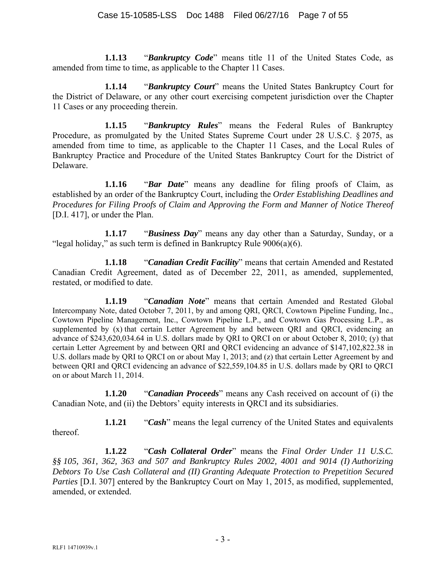**1.1.13** "*Bankruptcy Code*" means title 11 of the United States Code, as amended from time to time, as applicable to the Chapter 11 Cases.

**1.1.14** "*Bankruptcy Court*" means the United States Bankruptcy Court for the District of Delaware, or any other court exercising competent jurisdiction over the Chapter 11 Cases or any proceeding therein.

**1.1.15** "*Bankruptcy Rules*" means the Federal Rules of Bankruptcy Procedure, as promulgated by the United States Supreme Court under 28 U.S.C. § 2075, as amended from time to time, as applicable to the Chapter 11 Cases, and the Local Rules of Bankruptcy Practice and Procedure of the United States Bankruptcy Court for the District of Delaware.

**1.1.16** "*Bar Date*" means any deadline for filing proofs of Claim, as established by an order of the Bankruptcy Court, including the *Order Establishing Deadlines and Procedures for Filing Proofs of Claim and Approving the Form and Manner of Notice Thereof* [D.I. 417], or under the Plan.

**1.1.17** "*Business Day*" means any day other than a Saturday, Sunday, or a "legal holiday," as such term is defined in Bankruptcy Rule  $9006(a)(6)$ .

**1.1.18** "*Canadian Credit Facility*" means that certain Amended and Restated Canadian Credit Agreement, dated as of December 22, 2011, as amended, supplemented, restated, or modified to date.

**1.1.19** "*Canadian Note*" means that certain Amended and Restated Global Intercompany Note, dated October 7, 2011, by and among QRI, QRCI, Cowtown Pipeline Funding, Inc., Cowtown Pipeline Management, Inc., Cowtown Pipeline L.P., and Cowtown Gas Processing L.P., as supplemented by (x) that certain Letter Agreement by and between QRI and QRCI, evidencing an advance of \$243,620,034.64 in U.S. dollars made by QRI to QRCI on or about October 8, 2010; (y) that certain Letter Agreement by and between QRI and QRCI evidencing an advance of \$147,102,822.38 in U.S. dollars made by QRI to QRCI on or about May 1, 2013; and (z) that certain Letter Agreement by and between QRI and QRCI evidencing an advance of \$22,559,104.85 in U.S. dollars made by QRI to QRCI on or about March 11, 2014.

**1.1.20** "*Canadian Proceeds*" means any Cash received on account of (i) the Canadian Note, and (ii) the Debtors' equity interests in QRCI and its subsidiaries.

**1.1.21** "*Cash*" means the legal currency of the United States and equivalents thereof.

**1.1.22** "*Cash Collateral Order*" means the *Final Order Under 11 U.S.C. §§ 105, 361, 362, 363 and 507 and Bankruptcy Rules 2002, 4001 and 9014 (I) Authorizing Debtors To Use Cash Collateral and (II) Granting Adequate Protection to Prepetition Secured Parties* [D.I. 307] entered by the Bankruptcy Court on May 1, 2015, as modified, supplemented, amended, or extended.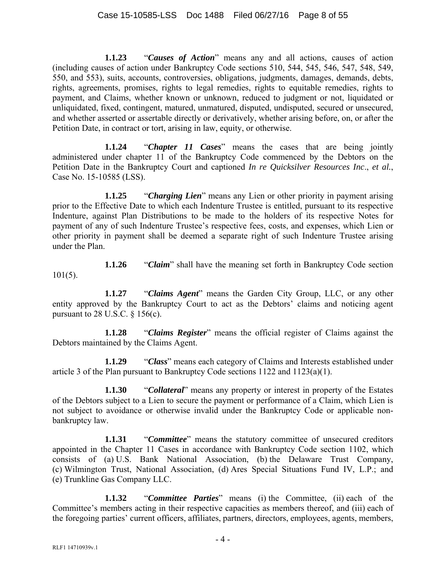**1.1.23** "*Causes of Action*" means any and all actions, causes of action (including causes of action under Bankruptcy Code sections 510, 544, 545, 546, 547, 548, 549, 550, and 553), suits, accounts, controversies, obligations, judgments, damages, demands, debts, rights, agreements, promises, rights to legal remedies, rights to equitable remedies, rights to payment, and Claims, whether known or unknown, reduced to judgment or not, liquidated or unliquidated, fixed, contingent, matured, unmatured, disputed, undisputed, secured or unsecured, and whether asserted or assertable directly or derivatively, whether arising before, on, or after the Petition Date, in contract or tort, arising in law, equity, or otherwise.

**1.1.24** "*Chapter 11 Cases*" means the cases that are being jointly administered under chapter 11 of the Bankruptcy Code commenced by the Debtors on the Petition Date in the Bankruptcy Court and captioned *In re Quicksilver Resources Inc*., *et al.*, Case No. 15-10585 (LSS).

**1.1.25** "*Charging Lien*" means any Lien or other priority in payment arising prior to the Effective Date to which each Indenture Trustee is entitled, pursuant to its respective Indenture, against Plan Distributions to be made to the holders of its respective Notes for payment of any of such Indenture Trustee's respective fees, costs, and expenses, which Lien or other priority in payment shall be deemed a separate right of such Indenture Trustee arising under the Plan.

**1.1.26** "*Claim*" shall have the meaning set forth in Bankruptcy Code section  $101(5)$ .

**1.1.27** "*Claims Agent*" means the Garden City Group, LLC, or any other entity approved by the Bankruptcy Court to act as the Debtors' claims and noticing agent pursuant to 28 U.S.C.  $\S$  156(c).

**1.1.28** "*Claims Register*" means the official register of Claims against the Debtors maintained by the Claims Agent.

**1.1.29** "*Class*" means each category of Claims and Interests established under article 3 of the Plan pursuant to Bankruptcy Code sections 1122 and 1123(a)(1).

**1.1.30** "*Collateral*" means any property or interest in property of the Estates of the Debtors subject to a Lien to secure the payment or performance of a Claim, which Lien is not subject to avoidance or otherwise invalid under the Bankruptcy Code or applicable nonbankruptcy law.

**1.1.31** "*Committee*" means the statutory committee of unsecured creditors appointed in the Chapter 11 Cases in accordance with Bankruptcy Code section 1102, which consists of (a) U.S. Bank National Association, (b) the Delaware Trust Company, (c) Wilmington Trust, National Association, (d) Ares Special Situations Fund IV, L.P.; and (e) Trunkline Gas Company LLC.

**1.1.32** "*Committee Parties*" means (i) the Committee, (ii) each of the Committee's members acting in their respective capacities as members thereof, and (iii) each of the foregoing parties' current officers, affiliates, partners, directors, employees, agents, members,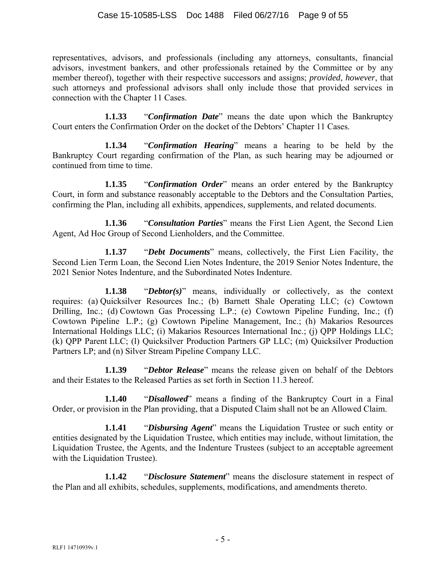representatives, advisors, and professionals (including any attorneys, consultants, financial advisors, investment bankers, and other professionals retained by the Committee or by any member thereof), together with their respective successors and assigns; *provided*, *however*, that such attorneys and professional advisors shall only include those that provided services in connection with the Chapter 11 Cases.

**1.1.33** "*Confirmation Date*" means the date upon which the Bankruptcy Court enters the Confirmation Order on the docket of the Debtors' Chapter 11 Cases.

**1.1.34** "*Confirmation Hearing*" means a hearing to be held by the Bankruptcy Court regarding confirmation of the Plan, as such hearing may be adjourned or continued from time to time.

**1.1.35** "*Confirmation Order*" means an order entered by the Bankruptcy Court, in form and substance reasonably acceptable to the Debtors and the Consultation Parties, confirming the Plan, including all exhibits, appendices, supplements, and related documents.

**1.1.36** "*Consultation Parties*" means the First Lien Agent, the Second Lien Agent, Ad Hoc Group of Second Lienholders, and the Committee.

**1.1.37** "*Debt Documents*" means, collectively, the First Lien Facility, the Second Lien Term Loan, the Second Lien Notes Indenture, the 2019 Senior Notes Indenture, the 2021 Senior Notes Indenture, and the Subordinated Notes Indenture.

**1.1.38** "*Debtor(s)*" means, individually or collectively, as the context requires: (a) Quicksilver Resources Inc.; (b) Barnett Shale Operating LLC; (c) Cowtown Drilling, Inc.; (d) Cowtown Gas Processing L.P.; (e) Cowtown Pipeline Funding, Inc.; (f) Cowtown Pipeline L.P.; (g) Cowtown Pipeline Management, Inc.; (h) Makarios Resources International Holdings LLC; (i) Makarios Resources International Inc.; (j) QPP Holdings LLC; (k) QPP Parent LLC; (l) Quicksilver Production Partners GP LLC; (m) Quicksilver Production Partners LP; and (n) Silver Stream Pipeline Company LLC.

**1.1.39** "*Debtor Release*" means the release given on behalf of the Debtors and their Estates to the Released Parties as set forth in Section 11.3 hereof.

**1.1.40** "*Disallowed*" means a finding of the Bankruptcy Court in a Final Order, or provision in the Plan providing, that a Disputed Claim shall not be an Allowed Claim.

**1.1.41** "*Disbursing Agent*" means the Liquidation Trustee or such entity or entities designated by the Liquidation Trustee, which entities may include, without limitation, the Liquidation Trustee, the Agents, and the Indenture Trustees (subject to an acceptable agreement with the Liquidation Trustee).

**1.1.42** "*Disclosure Statement*" means the disclosure statement in respect of the Plan and all exhibits, schedules, supplements, modifications, and amendments thereto.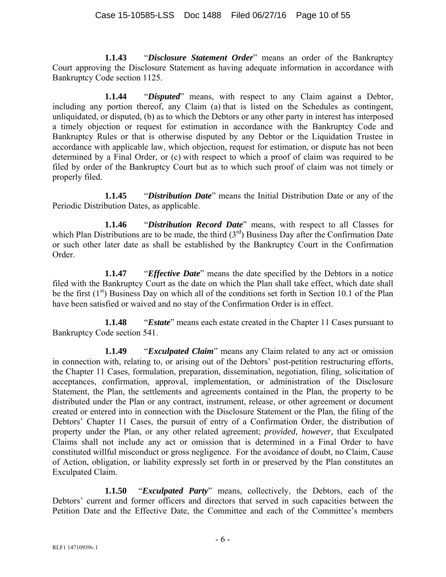**1.1.43** "*Disclosure Statement Order*" means an order of the Bankruptcy Court approving the Disclosure Statement as having adequate information in accordance with Bankruptcy Code section 1125.

**1.1.44** "*Disputed*" means, with respect to any Claim against a Debtor, including any portion thereof, any Claim (a) that is listed on the Schedules as contingent, unliquidated, or disputed, (b) as to which the Debtors or any other party in interest has interposed a timely objection or request for estimation in accordance with the Bankruptcy Code and Bankruptcy Rules or that is otherwise disputed by any Debtor or the Liquidation Trustee in accordance with applicable law, which objection, request for estimation, or dispute has not been determined by a Final Order, or (c) with respect to which a proof of claim was required to be filed by order of the Bankruptcy Court but as to which such proof of claim was not timely or properly filed.

**1.1.45** "*Distribution Date*" means the Initial Distribution Date or any of the Periodic Distribution Dates, as applicable.

**1.1.46** "*Distribution Record Date*" means, with respect to all Classes for which Plan Distributions are to be made, the third  $(3<sup>rd</sup>)$  Business Day after the Confirmation Date or such other later date as shall be established by the Bankruptcy Court in the Confirmation Order.

**1.1.47** "*Effective Date*" means the date specified by the Debtors in a notice filed with the Bankruptcy Court as the date on which the Plan shall take effect, which date shall be the first  $(1<sup>st</sup>)$  Business Day on which all of the conditions set forth in Section 10.1 of the Plan have been satisfied or waived and no stay of the Confirmation Order is in effect.

**1.1.48** "*Estate*" means each estate created in the Chapter 11 Cases pursuant to Bankruptcy Code section 541.

**1.1.49** "*Exculpated Claim*" means any Claim related to any act or omission in connection with, relating to, or arising out of the Debtors' post-petition restructuring efforts, the Chapter 11 Cases, formulation, preparation, dissemination, negotiation, filing, solicitation of acceptances, confirmation, approval, implementation, or administration of the Disclosure Statement, the Plan, the settlements and agreements contained in the Plan, the property to be distributed under the Plan or any contract, instrument, release, or other agreement or document created or entered into in connection with the Disclosure Statement or the Plan, the filing of the Debtors' Chapter 11 Cases, the pursuit of entry of a Confirmation Order, the distribution of property under the Plan, or any other related agreement; *provided, however,* that Exculpated Claims shall not include any act or omission that is determined in a Final Order to have constituted willful misconduct or gross negligence. For the avoidance of doubt, no Claim, Cause of Action, obligation, or liability expressly set forth in or preserved by the Plan constitutes an Exculpated Claim.

**1.1.50** "*Exculpated Party*" means, collectively, the Debtors, each of the Debtors' current and former officers and directors that served in such capacities between the Petition Date and the Effective Date, the Committee and each of the Committee's members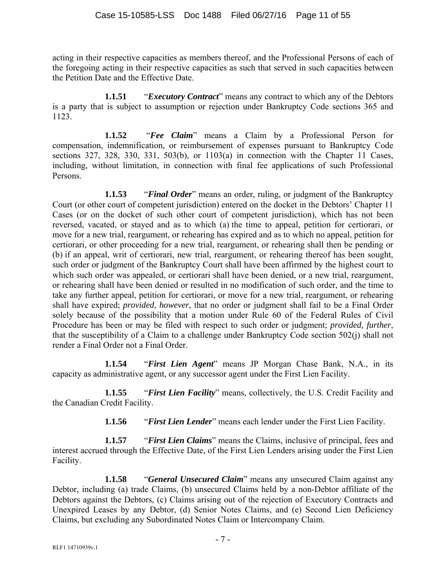acting in their respective capacities as members thereof, and the Professional Persons of each of the foregoing acting in their respective capacities as such that served in such capacities between the Petition Date and the Effective Date.

**1.1.51** "*Executory Contract*" means any contract to which any of the Debtors is a party that is subject to assumption or rejection under Bankruptcy Code sections 365 and 1123.

**1.1.52** "*Fee Claim*" means a Claim by a Professional Person for compensation, indemnification, or reimbursement of expenses pursuant to Bankruptcy Code sections 327, 328, 330, 331, 503(b), or 1103(a) in connection with the Chapter 11 Cases, including, without limitation, in connection with final fee applications of such Professional Persons.

**1.1.53** "*Final Order*" means an order, ruling, or judgment of the Bankruptcy Court (or other court of competent jurisdiction) entered on the docket in the Debtors' Chapter 11 Cases (or on the docket of such other court of competent jurisdiction), which has not been reversed, vacated, or stayed and as to which (a) the time to appeal, petition for certiorari, or move for a new trial, reargument, or rehearing has expired and as to which no appeal, petition for certiorari, or other proceeding for a new trial, reargument, or rehearing shall then be pending or (b) if an appeal, writ of certiorari, new trial, reargument, or rehearing thereof has been sought, such order or judgment of the Bankruptcy Court shall have been affirmed by the highest court to which such order was appealed, or certiorari shall have been denied, or a new trial, reargument, or rehearing shall have been denied or resulted in no modification of such order, and the time to take any further appeal, petition for certiorari, or move for a new trial, reargument, or rehearing shall have expired; *provided*, *however*, that no order or judgment shall fail to be a Final Order solely because of the possibility that a motion under Rule 60 of the Federal Rules of Civil Procedure has been or may be filed with respect to such order or judgment; *provided, further*, that the susceptibility of a Claim to a challenge under Bankruptcy Code section 502(j) shall not render a Final Order not a Final Order.

**1.1.54** "*First Lien Agent*" means JP Morgan Chase Bank, N.A., in its capacity as administrative agent, or any successor agent under the First Lien Facility.

**1.1.55** "*First Lien Facility*" means, collectively, the U.S. Credit Facility and the Canadian Credit Facility.

**1.1.56** "*First Lien Lender*" means each lender under the First Lien Facility.

**1.1.57** "*First Lien Claims*" means the Claims, inclusive of principal, fees and interest accrued through the Effective Date, of the First Lien Lenders arising under the First Lien Facility.

**1.1.58** "*General Unsecured Claim*" means any unsecured Claim against any Debtor, including (a) trade Claims, (b) unsecured Claims held by a non-Debtor affiliate of the Debtors against the Debtors, (c) Claims arising out of the rejection of Executory Contracts and Unexpired Leases by any Debtor, (d) Senior Notes Claims, and (e) Second Lien Deficiency Claims, but excluding any Subordinated Notes Claim or Intercompany Claim.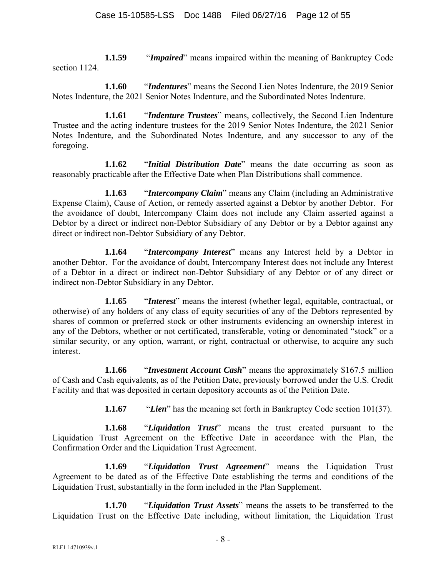**1.1.59** "*Impaired*" means impaired within the meaning of Bankruptcy Code section 1124.

**1.1.60** "*Indentures*" means the Second Lien Notes Indenture, the 2019 Senior Notes Indenture, the 2021 Senior Notes Indenture, and the Subordinated Notes Indenture.

**1.1.61** "*Indenture Trustees*" means, collectively, the Second Lien Indenture Trustee and the acting indenture trustees for the 2019 Senior Notes Indenture, the 2021 Senior Notes Indenture, and the Subordinated Notes Indenture, and any successor to any of the foregoing.

**1.1.62** "*Initial Distribution Date*" means the date occurring as soon as reasonably practicable after the Effective Date when Plan Distributions shall commence.

**1.1.63** "*Intercompany Claim*" means any Claim (including an Administrative Expense Claim), Cause of Action, or remedy asserted against a Debtor by another Debtor. For the avoidance of doubt, Intercompany Claim does not include any Claim asserted against a Debtor by a direct or indirect non-Debtor Subsidiary of any Debtor or by a Debtor against any direct or indirect non-Debtor Subsidiary of any Debtor.

**1.1.64** "*Intercompany Interest*" means any Interest held by a Debtor in another Debtor. For the avoidance of doubt, Intercompany Interest does not include any Interest of a Debtor in a direct or indirect non-Debtor Subsidiary of any Debtor or of any direct or indirect non-Debtor Subsidiary in any Debtor.

**1.1.65** "*Interest*" means the interest (whether legal, equitable, contractual, or otherwise) of any holders of any class of equity securities of any of the Debtors represented by shares of common or preferred stock or other instruments evidencing an ownership interest in any of the Debtors, whether or not certificated, transferable, voting or denominated "stock" or a similar security, or any option, warrant, or right, contractual or otherwise, to acquire any such interest.

**1.1.66** "*Investment Account Cash*" means the approximately \$167.5 million of Cash and Cash equivalents, as of the Petition Date, previously borrowed under the U.S. Credit Facility and that was deposited in certain depository accounts as of the Petition Date.

**1.1.67** "*Lien*" has the meaning set forth in Bankruptcy Code section 101(37).

**1.1.68** "*Liquidation Trust*" means the trust created pursuant to the Liquidation Trust Agreement on the Effective Date in accordance with the Plan, the Confirmation Order and the Liquidation Trust Agreement.

**1.1.69** "*Liquidation Trust Agreement*" means the Liquidation Trust Agreement to be dated as of the Effective Date establishing the terms and conditions of the Liquidation Trust, substantially in the form included in the Plan Supplement.

**1.1.70** "*Liquidation Trust Assets*" means the assets to be transferred to the Liquidation Trust on the Effective Date including, without limitation, the Liquidation Trust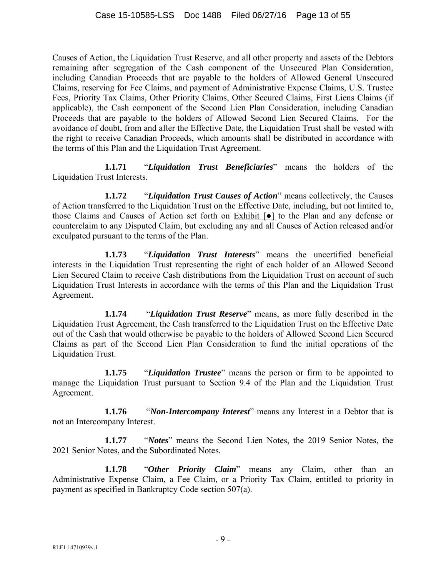Causes of Action, the Liquidation Trust Reserve, and all other property and assets of the Debtors remaining after segregation of the Cash component of the Unsecured Plan Consideration, including Canadian Proceeds that are payable to the holders of Allowed General Unsecured Claims, reserving for Fee Claims, and payment of Administrative Expense Claims, U.S. Trustee Fees, Priority Tax Claims, Other Priority Claims, Other Secured Claims, First Liens Claims (if applicable), the Cash component of the Second Lien Plan Consideration, including Canadian Proceeds that are payable to the holders of Allowed Second Lien Secured Claims. For the avoidance of doubt, from and after the Effective Date, the Liquidation Trust shall be vested with the right to receive Canadian Proceeds, which amounts shall be distributed in accordance with the terms of this Plan and the Liquidation Trust Agreement.

**1.1.71** "*Liquidation Trust Beneficiaries*" means the holders of the Liquidation Trust Interests.

**1.1.72** "*Liquidation Trust Causes of Action*" means collectively, the Causes of Action transferred to the Liquidation Trust on the Effective Date, including, but not limited to, those Claims and Causes of Action set forth on Exhibit [●] to the Plan and any defense or counterclaim to any Disputed Claim, but excluding any and all Causes of Action released and/or exculpated pursuant to the terms of the Plan.

**1.1.73** "*Liquidation Trust Interests*" means the uncertified beneficial interests in the Liquidation Trust representing the right of each holder of an Allowed Second Lien Secured Claim to receive Cash distributions from the Liquidation Trust on account of such Liquidation Trust Interests in accordance with the terms of this Plan and the Liquidation Trust Agreement.

**1.1.74** "*Liquidation Trust Reserve*" means, as more fully described in the Liquidation Trust Agreement, the Cash transferred to the Liquidation Trust on the Effective Date out of the Cash that would otherwise be payable to the holders of Allowed Second Lien Secured Claims as part of the Second Lien Plan Consideration to fund the initial operations of the Liquidation Trust.

**1.1.75** "*Liquidation Trustee*" means the person or firm to be appointed to manage the Liquidation Trust pursuant to Section 9.4 of the Plan and the Liquidation Trust Agreement.

**1.1.76** "*Non-Intercompany Interest*" means any Interest in a Debtor that is not an Intercompany Interest.

**1.1.77** "*Notes*" means the Second Lien Notes, the 2019 Senior Notes, the 2021 Senior Notes, and the Subordinated Notes.

**1.1.78** "*Other Priority Claim*" means any Claim, other than an Administrative Expense Claim, a Fee Claim, or a Priority Tax Claim, entitled to priority in payment as specified in Bankruptcy Code section 507(a).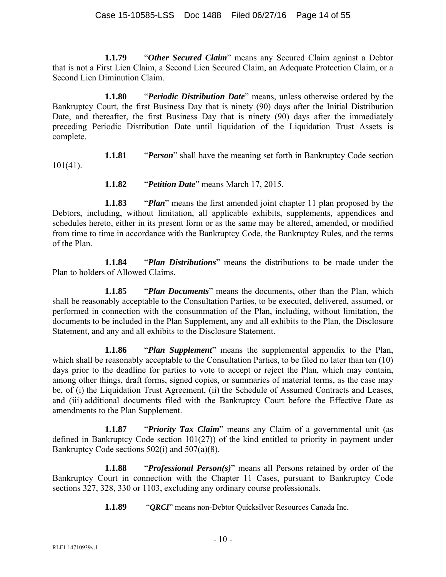**1.1.79** "*Other Secured Claim*" means any Secured Claim against a Debtor that is not a First Lien Claim, a Second Lien Secured Claim, an Adequate Protection Claim, or a Second Lien Diminution Claim.

**1.1.80** "*Periodic Distribution Date*" means, unless otherwise ordered by the Bankruptcy Court, the first Business Day that is ninety (90) days after the Initial Distribution Date, and thereafter, the first Business Day that is ninety (90) days after the immediately preceding Periodic Distribution Date until liquidation of the Liquidation Trust Assets is complete.

**1.1.81** "*Person*" shall have the meaning set forth in Bankruptcy Code section  $101(41)$ .

**1.1.82** "*Petition Date*" means March 17, 2015.

**1.1.83** "*Plan*" means the first amended joint chapter 11 plan proposed by the Debtors, including, without limitation, all applicable exhibits, supplements, appendices and schedules hereto, either in its present form or as the same may be altered, amended, or modified from time to time in accordance with the Bankruptcy Code, the Bankruptcy Rules, and the terms of the Plan.

**1.1.84** "*Plan Distributions*" means the distributions to be made under the Plan to holders of Allowed Claims.

**1.1.85** "*Plan Documents*" means the documents, other than the Plan, which shall be reasonably acceptable to the Consultation Parties, to be executed, delivered, assumed, or performed in connection with the consummation of the Plan, including, without limitation, the documents to be included in the Plan Supplement, any and all exhibits to the Plan, the Disclosure Statement, and any and all exhibits to the Disclosure Statement.

**1.1.86** "*Plan Supplement*" means the supplemental appendix to the Plan, which shall be reasonably acceptable to the Consultation Parties, to be filed no later than ten (10) days prior to the deadline for parties to vote to accept or reject the Plan, which may contain, among other things, draft forms, signed copies, or summaries of material terms, as the case may be, of (i) the Liquidation Trust Agreement, (ii) the Schedule of Assumed Contracts and Leases, and (iii) additional documents filed with the Bankruptcy Court before the Effective Date as amendments to the Plan Supplement.

**1.1.87** "*Priority Tax Claim*" means any Claim of a governmental unit (as defined in Bankruptcy Code section 101(27)) of the kind entitled to priority in payment under Bankruptcy Code sections 502(i) and 507(a)(8).

**1.1.88** "*Professional Person(s)*" means all Persons retained by order of the Bankruptcy Court in connection with the Chapter 11 Cases, pursuant to Bankruptcy Code sections 327, 328, 330 or 1103, excluding any ordinary course professionals.

**1.1.89** "*QRCI*" means non-Debtor Quicksilver Resources Canada Inc.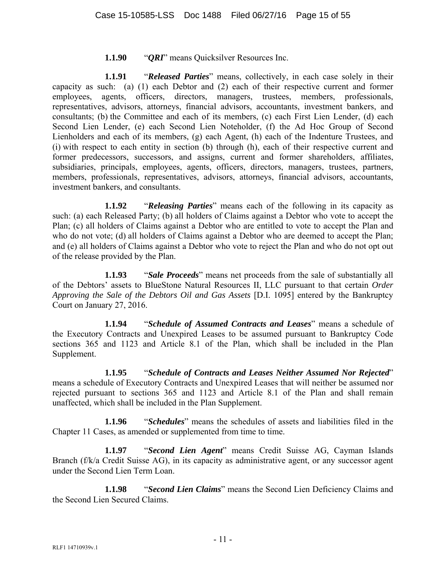## **1.1.90** "*QRI*" means Quicksilver Resources Inc.

**1.1.91** "*Released Parties*" means, collectively, in each case solely in their capacity as such: (a) (1) each Debtor and (2) each of their respective current and former employees, agents, officers, directors, managers, trustees, members, professionals, representatives, advisors, attorneys, financial advisors, accountants, investment bankers, and consultants; (b) the Committee and each of its members, (c) each First Lien Lender, (d) each Second Lien Lender, (e) each Second Lien Noteholder, (f) the Ad Hoc Group of Second Lienholders and each of its members, (g) each Agent, (h) each of the Indenture Trustees, and (i) with respect to each entity in section (b) through (h), each of their respective current and former predecessors, successors, and assigns, current and former shareholders, affiliates, subsidiaries, principals, employees, agents, officers, directors, managers, trustees, partners, members, professionals, representatives, advisors, attorneys, financial advisors, accountants, investment bankers, and consultants.

**1.1.92** "*Releasing Parties*" means each of the following in its capacity as such: (a) each Released Party; (b) all holders of Claims against a Debtor who vote to accept the Plan; (c) all holders of Claims against a Debtor who are entitled to vote to accept the Plan and who do not vote; (d) all holders of Claims against a Debtor who are deemed to accept the Plan; and (e) all holders of Claims against a Debtor who vote to reject the Plan and who do not opt out of the release provided by the Plan.

**1.1.93** "*Sale Proceeds*" means net proceeds from the sale of substantially all of the Debtors' assets to BlueStone Natural Resources II, LLC pursuant to that certain *Order Approving the Sale of the Debtors Oil and Gas Assets* [D.I. 1095] entered by the Bankruptcy Court on January 27, 2016.

**1.1.94** "*Schedule of Assumed Contracts and Leases*" means a schedule of the Executory Contracts and Unexpired Leases to be assumed pursuant to Bankruptcy Code sections 365 and 1123 and Article 8.1 of the Plan, which shall be included in the Plan Supplement.

**1.1.95** "*Schedule of Contracts and Leases Neither Assumed Nor Rejected*" means a schedule of Executory Contracts and Unexpired Leases that will neither be assumed nor rejected pursuant to sections 365 and 1123 and Article 8.1 of the Plan and shall remain unaffected, which shall be included in the Plan Supplement.

**1.1.96** "*Schedules*" means the schedules of assets and liabilities filed in the Chapter 11 Cases, as amended or supplemented from time to time.

**1.1.97** "*Second Lien Agent*" means Credit Suisse AG, Cayman Islands Branch (f/k/a Credit Suisse AG), in its capacity as administrative agent, or any successor agent under the Second Lien Term Loan.

**1.1.98** "*Second Lien Claims*" means the Second Lien Deficiency Claims and the Second Lien Secured Claims.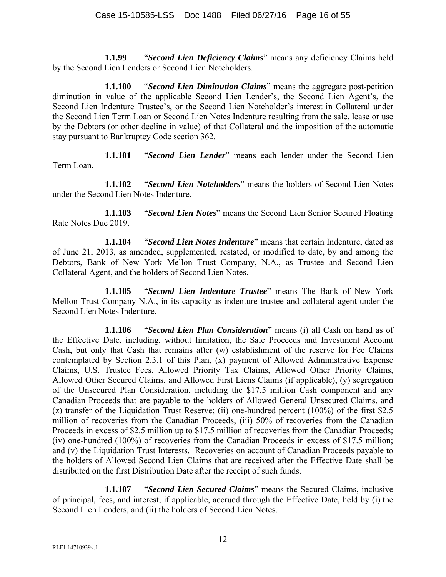**1.1.99** "*Second Lien Deficiency Claims*" means any deficiency Claims held by the Second Lien Lenders or Second Lien Noteholders.

**1.1.100** "*Second Lien Diminution Claims*" means the aggregate post-petition diminution in value of the applicable Second Lien Lender's, the Second Lien Agent's, the Second Lien Indenture Trustee's, or the Second Lien Noteholder's interest in Collateral under the Second Lien Term Loan or Second Lien Notes Indenture resulting from the sale, lease or use by the Debtors (or other decline in value) of that Collateral and the imposition of the automatic stay pursuant to Bankruptcy Code section 362.

**1.1.101** "*Second Lien Lender*" means each lender under the Second Lien Term Loan.

**1.1.102** "*Second Lien Noteholders*" means the holders of Second Lien Notes under the Second Lien Notes Indenture.

**1.1.103** "*Second Lien Notes*" means the Second Lien Senior Secured Floating Rate Notes Due 2019.

**1.1.104** "*Second Lien Notes Indenture*" means that certain Indenture, dated as of June 21, 2013, as amended, supplemented, restated, or modified to date, by and among the Debtors, Bank of New York Mellon Trust Company, N.A., as Trustee and Second Lien Collateral Agent, and the holders of Second Lien Notes.

**1.1.105** "*Second Lien Indenture Trustee*" means The Bank of New York Mellon Trust Company N.A., in its capacity as indenture trustee and collateral agent under the Second Lien Notes Indenture.

**1.1.106** "*Second Lien Plan Consideration*" means (i) all Cash on hand as of the Effective Date, including, without limitation, the Sale Proceeds and Investment Account Cash, but only that Cash that remains after (w) establishment of the reserve for Fee Claims contemplated by Section 2.3.1 of this Plan, (x) payment of Allowed Administrative Expense Claims, U.S. Trustee Fees, Allowed Priority Tax Claims, Allowed Other Priority Claims, Allowed Other Secured Claims, and Allowed First Liens Claims (if applicable), (y) segregation of the Unsecured Plan Consideration, including the \$17.5 million Cash component and any Canadian Proceeds that are payable to the holders of Allowed General Unsecured Claims, and (z) transfer of the Liquidation Trust Reserve; (ii) one-hundred percent (100%) of the first \$2.5 million of recoveries from the Canadian Proceeds, (iii) 50% of recoveries from the Canadian Proceeds in excess of \$2.5 million up to \$17.5 million of recoveries from the Canadian Proceeds; (iv) one-hundred (100%) of recoveries from the Canadian Proceeds in excess of \$17.5 million; and (v) the Liquidation Trust Interests. Recoveries on account of Canadian Proceeds payable to the holders of Allowed Second Lien Claims that are received after the Effective Date shall be distributed on the first Distribution Date after the receipt of such funds.

**1.1.107** "*Second Lien Secured Claims*" means the Secured Claims, inclusive of principal, fees, and interest, if applicable, accrued through the Effective Date, held by (i) the Second Lien Lenders, and (ii) the holders of Second Lien Notes.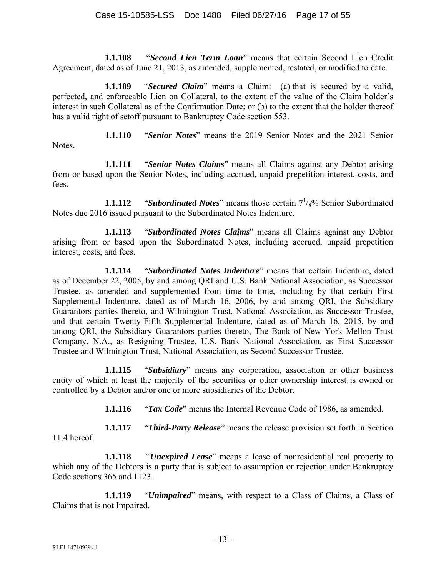**1.1.108** "*Second Lien Term Loan*" means that certain Second Lien Credit Agreement, dated as of June 21, 2013, as amended, supplemented, restated, or modified to date.

**1.1.109** "*Secured Claim*" means a Claim: (a) that is secured by a valid, perfected, and enforceable Lien on Collateral, to the extent of the value of the Claim holder's interest in such Collateral as of the Confirmation Date; or (b) to the extent that the holder thereof has a valid right of setoff pursuant to Bankruptcy Code section 553.

**1.1.110** "*Senior Notes*" means the 2019 Senior Notes and the 2021 Senior

**1.1.111** "*Senior Notes Claims*" means all Claims against any Debtor arising from or based upon the Senior Notes, including accrued, unpaid prepetition interest, costs, and fees.

**1.1.112** *"Subordinated Notes"* means those certain  $7\frac{1}{8}$ % Senior Subordinated Notes due 2016 issued pursuant to the Subordinated Notes Indenture.

**1.1.113** "*Subordinated Notes Claims*" means all Claims against any Debtor arising from or based upon the Subordinated Notes, including accrued, unpaid prepetition interest, costs, and fees.

**1.1.114** "*Subordinated Notes Indenture*" means that certain Indenture, dated as of December 22, 2005, by and among QRI and U.S. Bank National Association, as Successor Trustee, as amended and supplemented from time to time, including by that certain First Supplemental Indenture, dated as of March 16, 2006, by and among QRI, the Subsidiary Guarantors parties thereto, and Wilmington Trust, National Association, as Successor Trustee, and that certain Twenty-Fifth Supplemental Indenture, dated as of March 16, 2015, by and among QRI, the Subsidiary Guarantors parties thereto, The Bank of New York Mellon Trust Company, N.A., as Resigning Trustee, U.S. Bank National Association, as First Successor Trustee and Wilmington Trust, National Association, as Second Successor Trustee.

**1.1.115** "*Subsidiary*" means any corporation, association or other business entity of which at least the majority of the securities or other ownership interest is owned or controlled by a Debtor and/or one or more subsidiaries of the Debtor.

**1.1.116** "*Tax Code*" means the Internal Revenue Code of 1986, as amended.

**1.1.117** "*Third-Party Release*" means the release provision set forth in Section 11.4 hereof.

**1.1.118** "*Unexpired Lease*" means a lease of nonresidential real property to which any of the Debtors is a party that is subject to assumption or rejection under Bankruptcy Code sections 365 and 1123.

**1.1.119** "*Unimpaired*" means, with respect to a Class of Claims, a Class of Claims that is not Impaired.

Notes.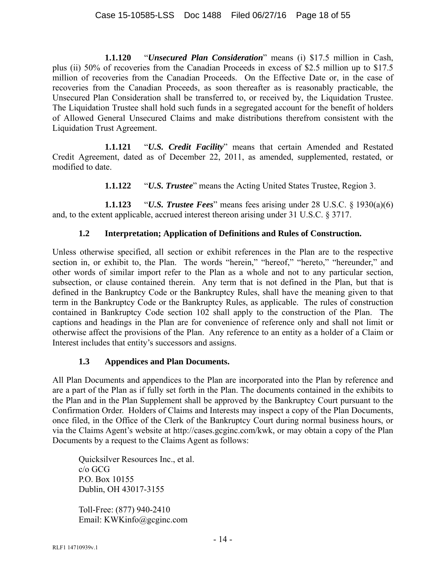**1.1.120** "*Unsecured Plan Consideration*" means (i) \$17.5 million in Cash, plus (ii) 50% of recoveries from the Canadian Proceeds in excess of \$2.5 million up to \$17.5 million of recoveries from the Canadian Proceeds. On the Effective Date or, in the case of recoveries from the Canadian Proceeds, as soon thereafter as is reasonably practicable, the Unsecured Plan Consideration shall be transferred to, or received by, the Liquidation Trustee. The Liquidation Trustee shall hold such funds in a segregated account for the benefit of holders of Allowed General Unsecured Claims and make distributions therefrom consistent with the Liquidation Trust Agreement.

**1.1.121** "*U.S. Credit Facility*" means that certain Amended and Restated Credit Agreement, dated as of December 22, 2011, as amended, supplemented, restated, or modified to date.

**1.1.122** "*U.S. Trustee*" means the Acting United States Trustee, Region 3.

**1.1.123** "*U.S. Trustee Fees*" means fees arising under 28 U.S.C. § 1930(a)(6) and, to the extent applicable, accrued interest thereon arising under 31 U.S.C. § 3717.

## **1.2 Interpretation; Application of Definitions and Rules of Construction.**

Unless otherwise specified, all section or exhibit references in the Plan are to the respective section in, or exhibit to, the Plan. The words "herein," "hereof," "hereto," "hereunder," and other words of similar import refer to the Plan as a whole and not to any particular section, subsection, or clause contained therein. Any term that is not defined in the Plan, but that is defined in the Bankruptcy Code or the Bankruptcy Rules, shall have the meaning given to that term in the Bankruptcy Code or the Bankruptcy Rules, as applicable. The rules of construction contained in Bankruptcy Code section 102 shall apply to the construction of the Plan. The captions and headings in the Plan are for convenience of reference only and shall not limit or otherwise affect the provisions of the Plan. Any reference to an entity as a holder of a Claim or Interest includes that entity's successors and assigns.

## **1.3 Appendices and Plan Documents.**

All Plan Documents and appendices to the Plan are incorporated into the Plan by reference and are a part of the Plan as if fully set forth in the Plan. The documents contained in the exhibits to the Plan and in the Plan Supplement shall be approved by the Bankruptcy Court pursuant to the Confirmation Order. Holders of Claims and Interests may inspect a copy of the Plan Documents, once filed, in the Office of the Clerk of the Bankruptcy Court during normal business hours, or via the Claims Agent's website at http://cases.gcginc.com/kwk, or may obtain a copy of the Plan Documents by a request to the Claims Agent as follows:

Quicksilver Resources Inc., et al. c/o GCG P.O. Box 10155 Dublin, OH 43017-3155

Toll-Free: (877) 940-2410 Email: KWKinfo@gcginc.com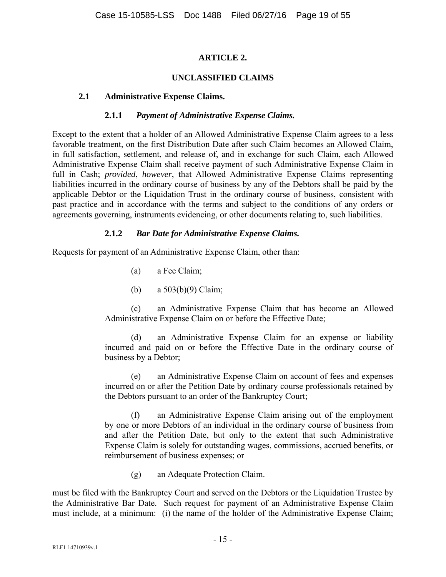## **ARTICLE 2.**

## **UNCLASSIFIED CLAIMS**

#### **2.1 Administrative Expense Claims.**

#### **2.1.1** *Payment of Administrative Expense Claims.*

Except to the extent that a holder of an Allowed Administrative Expense Claim agrees to a less favorable treatment, on the first Distribution Date after such Claim becomes an Allowed Claim, in full satisfaction, settlement, and release of, and in exchange for such Claim, each Allowed Administrative Expense Claim shall receive payment of such Administrative Expense Claim in full in Cash; *provided*, *however*, that Allowed Administrative Expense Claims representing liabilities incurred in the ordinary course of business by any of the Debtors shall be paid by the applicable Debtor or the Liquidation Trust in the ordinary course of business, consistent with past practice and in accordance with the terms and subject to the conditions of any orders or agreements governing, instruments evidencing, or other documents relating to, such liabilities.

#### **2.1.2** *Bar Date for Administrative Expense Claims.*

Requests for payment of an Administrative Expense Claim, other than:

- (a) a Fee Claim;
- (b) a 503(b)(9) Claim;

(c) an Administrative Expense Claim that has become an Allowed Administrative Expense Claim on or before the Effective Date;

(d) an Administrative Expense Claim for an expense or liability incurred and paid on or before the Effective Date in the ordinary course of business by a Debtor;

(e) an Administrative Expense Claim on account of fees and expenses incurred on or after the Petition Date by ordinary course professionals retained by the Debtors pursuant to an order of the Bankruptcy Court;

(f) an Administrative Expense Claim arising out of the employment by one or more Debtors of an individual in the ordinary course of business from and after the Petition Date, but only to the extent that such Administrative Expense Claim is solely for outstanding wages, commissions, accrued benefits, or reimbursement of business expenses; or

(g) an Adequate Protection Claim.

must be filed with the Bankruptcy Court and served on the Debtors or the Liquidation Trustee by the Administrative Bar Date. Such request for payment of an Administrative Expense Claim must include, at a minimum: (i) the name of the holder of the Administrative Expense Claim;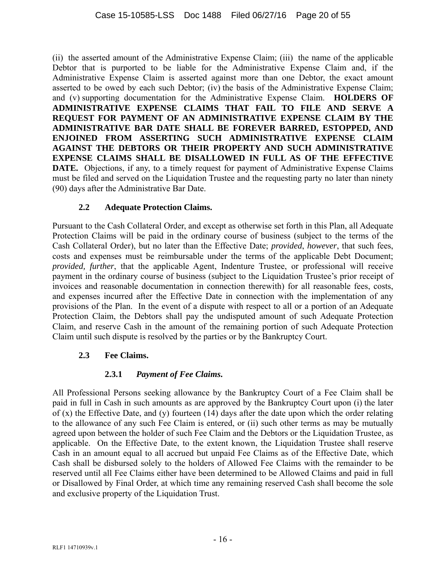(ii) the asserted amount of the Administrative Expense Claim; (iii) the name of the applicable Debtor that is purported to be liable for the Administrative Expense Claim and, if the Administrative Expense Claim is asserted against more than one Debtor, the exact amount asserted to be owed by each such Debtor; (iv) the basis of the Administrative Expense Claim; and (v) supporting documentation for the Administrative Expense Claim. **HOLDERS OF ADMINISTRATIVE EXPENSE CLAIMS THAT FAIL TO FILE AND SERVE A REQUEST FOR PAYMENT OF AN ADMINISTRATIVE EXPENSE CLAIM BY THE ADMINISTRATIVE BAR DATE SHALL BE FOREVER BARRED, ESTOPPED, AND ENJOINED FROM ASSERTING SUCH ADMINISTRATIVE EXPENSE CLAIM AGAINST THE DEBTORS OR THEIR PROPERTY AND SUCH ADMINISTRATIVE EXPENSE CLAIMS SHALL BE DISALLOWED IN FULL AS OF THE EFFECTIVE DATE.** Objections, if any, to a timely request for payment of Administrative Expense Claims must be filed and served on the Liquidation Trustee and the requesting party no later than ninety (90) days after the Administrative Bar Date.

## **2.2 Adequate Protection Claims.**

Pursuant to the Cash Collateral Order, and except as otherwise set forth in this Plan, all Adequate Protection Claims will be paid in the ordinary course of business (subject to the terms of the Cash Collateral Order), but no later than the Effective Date; *provided*, *however*, that such fees, costs and expenses must be reimbursable under the terms of the applicable Debt Document; *provided, further*, that the applicable Agent, Indenture Trustee, or professional will receive payment in the ordinary course of business (subject to the Liquidation Trustee's prior receipt of invoices and reasonable documentation in connection therewith) for all reasonable fees, costs, and expenses incurred after the Effective Date in connection with the implementation of any provisions of the Plan. In the event of a dispute with respect to all or a portion of an Adequate Protection Claim, the Debtors shall pay the undisputed amount of such Adequate Protection Claim, and reserve Cash in the amount of the remaining portion of such Adequate Protection Claim until such dispute is resolved by the parties or by the Bankruptcy Court.

# **2.3 Fee Claims.**

# **2.3.1** *Payment of Fee Claims***.**

All Professional Persons seeking allowance by the Bankruptcy Court of a Fee Claim shall be paid in full in Cash in such amounts as are approved by the Bankruptcy Court upon (i) the later of (x) the Effective Date, and (y) fourteen (14) days after the date upon which the order relating to the allowance of any such Fee Claim is entered, or (ii) such other terms as may be mutually agreed upon between the holder of such Fee Claim and the Debtors or the Liquidation Trustee, as applicable. On the Effective Date, to the extent known, the Liquidation Trustee shall reserve Cash in an amount equal to all accrued but unpaid Fee Claims as of the Effective Date, which Cash shall be disbursed solely to the holders of Allowed Fee Claims with the remainder to be reserved until all Fee Claims either have been determined to be Allowed Claims and paid in full or Disallowed by Final Order, at which time any remaining reserved Cash shall become the sole and exclusive property of the Liquidation Trust.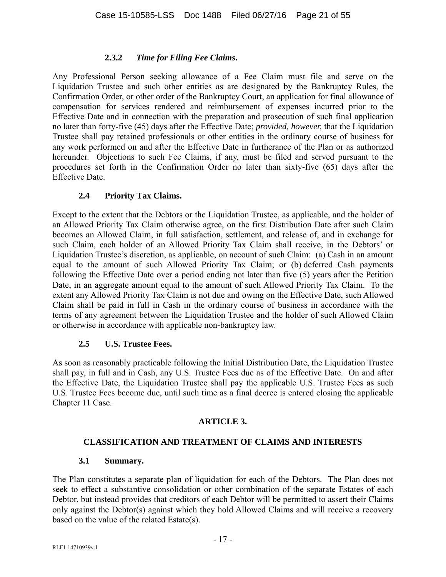## **2.3.2** *Time for Filing Fee Claims***.**

Any Professional Person seeking allowance of a Fee Claim must file and serve on the Liquidation Trustee and such other entities as are designated by the Bankruptcy Rules, the Confirmation Order, or other order of the Bankruptcy Court, an application for final allowance of compensation for services rendered and reimbursement of expenses incurred prior to the Effective Date and in connection with the preparation and prosecution of such final application no later than forty-five (45) days after the Effective Date; *provided, however,* that the Liquidation Trustee shall pay retained professionals or other entities in the ordinary course of business for any work performed on and after the Effective Date in furtherance of the Plan or as authorized hereunder. Objections to such Fee Claims, if any, must be filed and served pursuant to the procedures set forth in the Confirmation Order no later than sixty-five (65) days after the Effective Date.

## **2.4 Priority Tax Claims.**

Except to the extent that the Debtors or the Liquidation Trustee, as applicable, and the holder of an Allowed Priority Tax Claim otherwise agree, on the first Distribution Date after such Claim becomes an Allowed Claim, in full satisfaction, settlement, and release of, and in exchange for such Claim, each holder of an Allowed Priority Tax Claim shall receive, in the Debtors' or Liquidation Trustee's discretion, as applicable, on account of such Claim: (a) Cash in an amount equal to the amount of such Allowed Priority Tax Claim; or (b) deferred Cash payments following the Effective Date over a period ending not later than five (5) years after the Petition Date, in an aggregate amount equal to the amount of such Allowed Priority Tax Claim. To the extent any Allowed Priority Tax Claim is not due and owing on the Effective Date, such Allowed Claim shall be paid in full in Cash in the ordinary course of business in accordance with the terms of any agreement between the Liquidation Trustee and the holder of such Allowed Claim or otherwise in accordance with applicable non-bankruptcy law.

## **2.5 U.S. Trustee Fees.**

As soon as reasonably practicable following the Initial Distribution Date, the Liquidation Trustee shall pay, in full and in Cash, any U.S. Trustee Fees due as of the Effective Date. On and after the Effective Date, the Liquidation Trustee shall pay the applicable U.S. Trustee Fees as such U.S. Trustee Fees become due, until such time as a final decree is entered closing the applicable Chapter 11 Case.

# **ARTICLE 3.**

## **CLASSIFICATION AND TREATMENT OF CLAIMS AND INTERESTS**

## **3.1 Summary.**

The Plan constitutes a separate plan of liquidation for each of the Debtors. The Plan does not seek to effect a substantive consolidation or other combination of the separate Estates of each Debtor, but instead provides that creditors of each Debtor will be permitted to assert their Claims only against the Debtor(s) against which they hold Allowed Claims and will receive a recovery based on the value of the related Estate(s).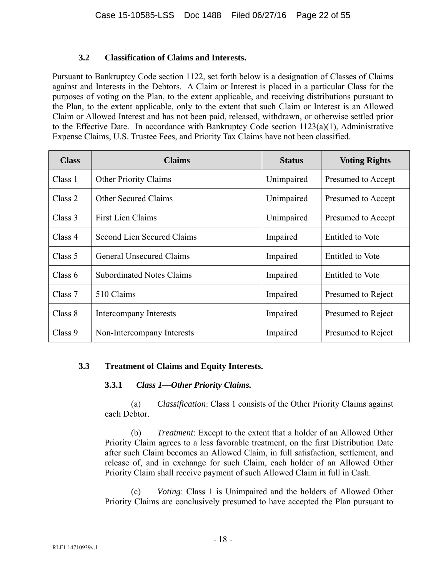#### **3.2 Classification of Claims and Interests.**

Pursuant to Bankruptcy Code section 1122, set forth below is a designation of Classes of Claims against and Interests in the Debtors. A Claim or Interest is placed in a particular Class for the purposes of voting on the Plan, to the extent applicable, and receiving distributions pursuant to the Plan, to the extent applicable, only to the extent that such Claim or Interest is an Allowed Claim or Allowed Interest and has not been paid, released, withdrawn, or otherwise settled prior to the Effective Date. In accordance with Bankruptcy Code section 1123(a)(1), Administrative Expense Claims, U.S. Trustee Fees, and Priority Tax Claims have not been classified.

| <b>Class</b> | <b>Claims</b>                    | <b>Status</b> | <b>Voting Rights</b>    |
|--------------|----------------------------------|---------------|-------------------------|
| Class 1      | <b>Other Priority Claims</b>     | Unimpaired    | Presumed to Accept      |
| Class 2      | <b>Other Secured Claims</b>      | Unimpaired    | Presumed to Accept      |
| Class 3      | <b>First Lien Claims</b>         | Unimpaired    | Presumed to Accept      |
| Class 4      | Second Lien Secured Claims       | Impaired      | <b>Entitled to Vote</b> |
| Class 5      | <b>General Unsecured Claims</b>  | Impaired      | <b>Entitled</b> to Vote |
| Class $6$    | <b>Subordinated Notes Claims</b> | Impaired      | <b>Entitled</b> to Vote |
| Class 7      | 510 Claims                       | Impaired      | Presumed to Reject      |
| Class 8      | Intercompany Interests           | Impaired      | Presumed to Reject      |
| Class 9      | Non-Intercompany Interests       | Impaired      | Presumed to Reject      |

## **3.3 Treatment of Claims and Equity Interests.**

## **3.3.1** *Class 1—Other Priority Claims.*

(a) *Classification*: Class 1 consists of the Other Priority Claims against each Debtor.

(b) *Treatment*: Except to the extent that a holder of an Allowed Other Priority Claim agrees to a less favorable treatment, on the first Distribution Date after such Claim becomes an Allowed Claim, in full satisfaction, settlement, and release of, and in exchange for such Claim, each holder of an Allowed Other Priority Claim shall receive payment of such Allowed Claim in full in Cash.

(c) *Voting*: Class 1 is Unimpaired and the holders of Allowed Other Priority Claims are conclusively presumed to have accepted the Plan pursuant to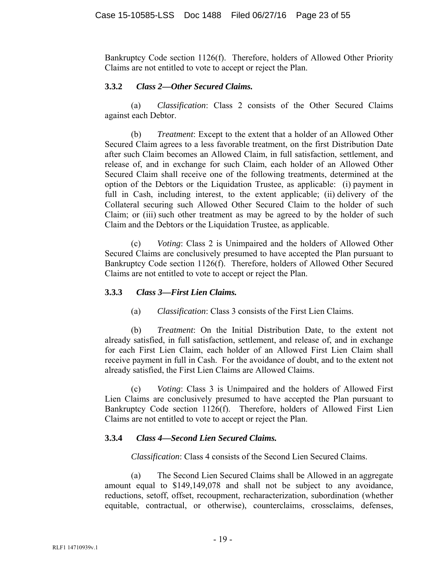Bankruptcy Code section 1126(f). Therefore, holders of Allowed Other Priority Claims are not entitled to vote to accept or reject the Plan.

## **3.3.2** *Class 2—Other Secured Claims.*

(a) *Classification*: Class 2 consists of the Other Secured Claims against each Debtor.

(b) *Treatment*: Except to the extent that a holder of an Allowed Other Secured Claim agrees to a less favorable treatment, on the first Distribution Date after such Claim becomes an Allowed Claim, in full satisfaction, settlement, and release of, and in exchange for such Claim, each holder of an Allowed Other Secured Claim shall receive one of the following treatments, determined at the option of the Debtors or the Liquidation Trustee, as applicable: (i) payment in full in Cash, including interest, to the extent applicable; (ii) delivery of the Collateral securing such Allowed Other Secured Claim to the holder of such Claim; or (iii) such other treatment as may be agreed to by the holder of such Claim and the Debtors or the Liquidation Trustee, as applicable.

(c) *Voting*: Class 2 is Unimpaired and the holders of Allowed Other Secured Claims are conclusively presumed to have accepted the Plan pursuant to Bankruptcy Code section 1126(f). Therefore, holders of Allowed Other Secured Claims are not entitled to vote to accept or reject the Plan.

#### **3.3.3** *Class 3—First Lien Claims.*

(a) *Classification*: Class 3 consists of the First Lien Claims.

(b) *Treatment*: On the Initial Distribution Date, to the extent not already satisfied, in full satisfaction, settlement, and release of, and in exchange for each First Lien Claim, each holder of an Allowed First Lien Claim shall receive payment in full in Cash. For the avoidance of doubt, and to the extent not already satisfied, the First Lien Claims are Allowed Claims.

(c) *Voting*: Class 3 is Unimpaired and the holders of Allowed First Lien Claims are conclusively presumed to have accepted the Plan pursuant to Bankruptcy Code section 1126(f). Therefore, holders of Allowed First Lien Claims are not entitled to vote to accept or reject the Plan.

## **3.3.4** *Class 4—Second Lien Secured Claims.*

*Classification*: Class 4 consists of the Second Lien Secured Claims.

(a) The Second Lien Secured Claims shall be Allowed in an aggregate amount equal to \$149,149,078 and shall not be subject to any avoidance, reductions, setoff, offset, recoupment, recharacterization, subordination (whether equitable, contractual, or otherwise), counterclaims, crossclaims, defenses,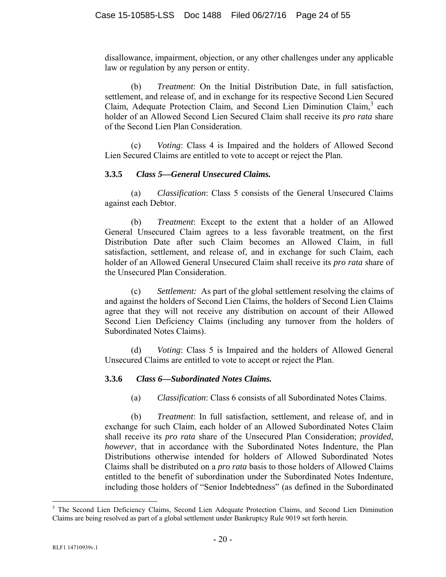disallowance, impairment, objection, or any other challenges under any applicable law or regulation by any person or entity.

(b) *Treatment*: On the Initial Distribution Date, in full satisfaction, settlement, and release of, and in exchange for its respective Second Lien Secured Claim, Adequate Protection Claim, and Second Lien Diminution Claim,<sup>3</sup> each holder of an Allowed Second Lien Secured Claim shall receive its *pro rata* share of the Second Lien Plan Consideration.

(c) *Voting*: Class 4 is Impaired and the holders of Allowed Second Lien Secured Claims are entitled to vote to accept or reject the Plan.

#### **3.3.5** *Class 5—General Unsecured Claims.*

(a) *Classification*: Class 5 consists of the General Unsecured Claims against each Debtor.

(b) *Treatment*: Except to the extent that a holder of an Allowed General Unsecured Claim agrees to a less favorable treatment, on the first Distribution Date after such Claim becomes an Allowed Claim, in full satisfaction, settlement, and release of, and in exchange for such Claim, each holder of an Allowed General Unsecured Claim shall receive its *pro rata* share of the Unsecured Plan Consideration.

(c) *Settlement:* As part of the global settlement resolving the claims of and against the holders of Second Lien Claims, the holders of Second Lien Claims agree that they will not receive any distribution on account of their Allowed Second Lien Deficiency Claims (including any turnover from the holders of Subordinated Notes Claims).

(d) *Voting*: Class 5 is Impaired and the holders of Allowed General Unsecured Claims are entitled to vote to accept or reject the Plan.

## **3.3.6** *Class 6—Subordinated Notes Claims.*

(a) *Classification*: Class 6 consists of all Subordinated Notes Claims.

(b) *Treatment*: In full satisfaction, settlement, and release of, and in exchange for such Claim, each holder of an Allowed Subordinated Notes Claim shall receive its *pro rata* share of the Unsecured Plan Consideration; *provided*, *however*, that in accordance with the Subordinated Notes Indenture, the Plan Distributions otherwise intended for holders of Allowed Subordinated Notes Claims shall be distributed on a *pro rata* basis to those holders of Allowed Claims entitled to the benefit of subordination under the Subordinated Notes Indenture, including those holders of "Senior Indebtedness" (as defined in the Subordinated

 $\overline{a}$ 

<sup>&</sup>lt;sup>3</sup> The Second Lien Deficiency Claims, Second Lien Adequate Protection Claims, and Second Lien Diminution Claims are being resolved as part of a global settlement under Bankruptcy Rule 9019 set forth herein.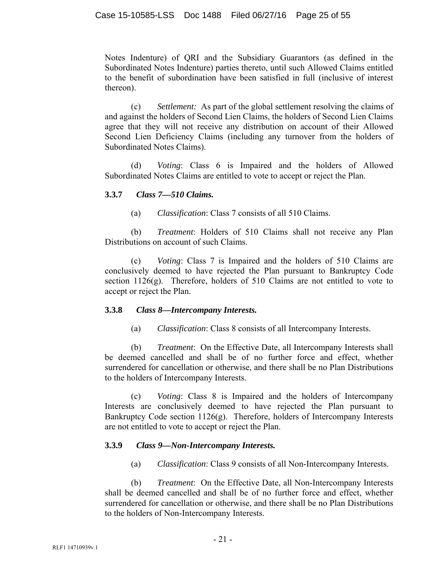Notes Indenture) of QRI and the Subsidiary Guarantors (as defined in the Subordinated Notes Indenture) parties thereto, until such Allowed Claims entitled to the benefit of subordination have been satisfied in full (inclusive of interest thereon).

(c) *Settlement:* As part of the global settlement resolving the claims of and against the holders of Second Lien Claims, the holders of Second Lien Claims agree that they will not receive any distribution on account of their Allowed Second Lien Deficiency Claims (including any turnover from the holders of Subordinated Notes Claims).

(d) *Voting*: Class 6 is Impaired and the holders of Allowed Subordinated Notes Claims are entitled to vote to accept or reject the Plan.

## **3.3.7** *Class 7—510 Claims.*

(a) *Classification*: Class 7 consists of all 510 Claims.

(b) *Treatment*: Holders of 510 Claims shall not receive any Plan Distributions on account of such Claims.

(c) *Voting*: Class 7 is Impaired and the holders of 510 Claims are conclusively deemed to have rejected the Plan pursuant to Bankruptcy Code section 1126(g). Therefore, holders of 510 Claims are not entitled to vote to accept or reject the Plan.

## **3.3.8** *Class 8—Intercompany Interests.*

(a) *Classification*: Class 8 consists of all Intercompany Interests.

(b) *Treatment*: On the Effective Date, all Intercompany Interests shall be deemed cancelled and shall be of no further force and effect, whether surrendered for cancellation or otherwise, and there shall be no Plan Distributions to the holders of Intercompany Interests.

(c) *Voting*: Class 8 is Impaired and the holders of Intercompany Interests are conclusively deemed to have rejected the Plan pursuant to Bankruptcy Code section 1126(g). Therefore, holders of Intercompany Interests are not entitled to vote to accept or reject the Plan.

# **3.3.9** *Class 9—Non-Intercompany Interests.*

(a) *Classification*: Class 9 consists of all Non-Intercompany Interests.

(b) *Treatment*: On the Effective Date, all Non-Intercompany Interests shall be deemed cancelled and shall be of no further force and effect, whether surrendered for cancellation or otherwise, and there shall be no Plan Distributions to the holders of Non-Intercompany Interests.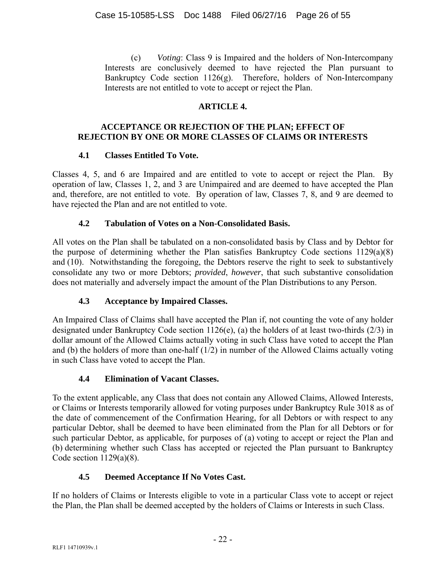(c) *Voting*: Class 9 is Impaired and the holders of Non-Intercompany Interests are conclusively deemed to have rejected the Plan pursuant to Bankruptcy Code section 1126(g). Therefore, holders of Non-Intercompany Interests are not entitled to vote to accept or reject the Plan.

## **ARTICLE 4.**

## **ACCEPTANCE OR REJECTION OF THE PLAN; EFFECT OF REJECTION BY ONE OR MORE CLASSES OF CLAIMS OR INTERESTS**

## **4.1 Classes Entitled To Vote.**

Classes 4, 5, and 6 are Impaired and are entitled to vote to accept or reject the Plan. By operation of law, Classes 1, 2, and 3 are Unimpaired and are deemed to have accepted the Plan and, therefore, are not entitled to vote. By operation of law, Classes 7, 8, and 9 are deemed to have rejected the Plan and are not entitled to vote.

## **4.2 Tabulation of Votes on a Non-Consolidated Basis.**

All votes on the Plan shall be tabulated on a non-consolidated basis by Class and by Debtor for the purpose of determining whether the Plan satisfies Bankruptcy Code sections 1129(a)(8) and (10). Notwithstanding the foregoing, the Debtors reserve the right to seek to substantively consolidate any two or more Debtors; *provided*, *however*, that such substantive consolidation does not materially and adversely impact the amount of the Plan Distributions to any Person.

# **4.3 Acceptance by Impaired Classes.**

An Impaired Class of Claims shall have accepted the Plan if, not counting the vote of any holder designated under Bankruptcy Code section 1126(e), (a) the holders of at least two-thirds (2/3) in dollar amount of the Allowed Claims actually voting in such Class have voted to accept the Plan and (b) the holders of more than one-half (1/2) in number of the Allowed Claims actually voting in such Class have voted to accept the Plan.

# **4.4 Elimination of Vacant Classes.**

To the extent applicable, any Class that does not contain any Allowed Claims, Allowed Interests, or Claims or Interests temporarily allowed for voting purposes under Bankruptcy Rule 3018 as of the date of commencement of the Confirmation Hearing, for all Debtors or with respect to any particular Debtor, shall be deemed to have been eliminated from the Plan for all Debtors or for such particular Debtor, as applicable, for purposes of (a) voting to accept or reject the Plan and (b) determining whether such Class has accepted or rejected the Plan pursuant to Bankruptcy Code section 1129(a)(8).

# **4.5 Deemed Acceptance If No Votes Cast.**

If no holders of Claims or Interests eligible to vote in a particular Class vote to accept or reject the Plan, the Plan shall be deemed accepted by the holders of Claims or Interests in such Class.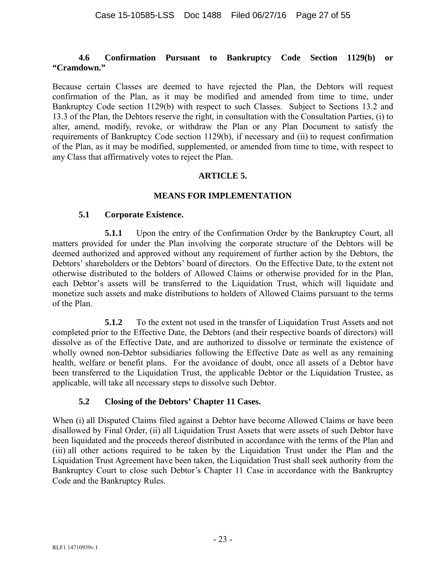#### **4.6 Confirmation Pursuant to Bankruptcy Code Section 1129(b) or "Cramdown."**

Because certain Classes are deemed to have rejected the Plan, the Debtors will request confirmation of the Plan, as it may be modified and amended from time to time, under Bankruptcy Code section 1129(b) with respect to such Classes. Subject to Sections 13.2 and 13.3 of the Plan, the Debtors reserve the right, in consultation with the Consultation Parties, (i) to alter, amend, modify, revoke, or withdraw the Plan or any Plan Document to satisfy the requirements of Bankruptcy Code section 1129(b), if necessary and (ii) to request confirmation of the Plan, as it may be modified, supplemented, or amended from time to time, with respect to any Class that affirmatively votes to reject the Plan.

## **ARTICLE 5.**

#### **MEANS FOR IMPLEMENTATION**

#### **5.1 Corporate Existence.**

**5.1.1** Upon the entry of the Confirmation Order by the Bankruptcy Court, all matters provided for under the Plan involving the corporate structure of the Debtors will be deemed authorized and approved without any requirement of further action by the Debtors, the Debtors' shareholders or the Debtors' board of directors. On the Effective Date, to the extent not otherwise distributed to the holders of Allowed Claims or otherwise provided for in the Plan, each Debtor's assets will be transferred to the Liquidation Trust, which will liquidate and monetize such assets and make distributions to holders of Allowed Claims pursuant to the terms of the Plan.

**5.1.2** To the extent not used in the transfer of Liquidation Trust Assets and not completed prior to the Effective Date, the Debtors (and their respective boards of directors) will dissolve as of the Effective Date, and are authorized to dissolve or terminate the existence of wholly owned non-Debtor subsidiaries following the Effective Date as well as any remaining health, welfare or benefit plans. For the avoidance of doubt, once all assets of a Debtor have been transferred to the Liquidation Trust, the applicable Debtor or the Liquidation Trustee, as applicable, will take all necessary steps to dissolve such Debtor.

## **5.2 Closing of the Debtors' Chapter 11 Cases.**

When (i) all Disputed Claims filed against a Debtor have become Allowed Claims or have been disallowed by Final Order, (ii) all Liquidation Trust Assets that were assets of such Debtor have been liquidated and the proceeds thereof distributed in accordance with the terms of the Plan and (iii) all other actions required to be taken by the Liquidation Trust under the Plan and the Liquidation Trust Agreement have been taken, the Liquidation Trust shall seek authority from the Bankruptcy Court to close such Debtor's Chapter 11 Case in accordance with the Bankruptcy Code and the Bankruptcy Rules.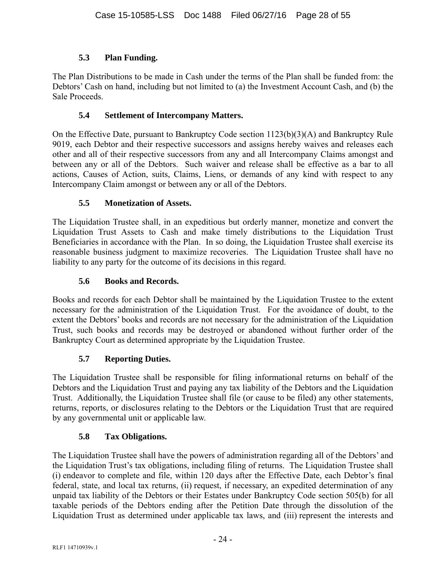# **5.3 Plan Funding.**

The Plan Distributions to be made in Cash under the terms of the Plan shall be funded from: the Debtors' Cash on hand, including but not limited to (a) the Investment Account Cash, and (b) the Sale Proceeds.

## **5.4 Settlement of Intercompany Matters.**

On the Effective Date, pursuant to Bankruptcy Code section 1123(b)(3)(A) and Bankruptcy Rule 9019, each Debtor and their respective successors and assigns hereby waives and releases each other and all of their respective successors from any and all Intercompany Claims amongst and between any or all of the Debtors. Such waiver and release shall be effective as a bar to all actions, Causes of Action, suits, Claims, Liens, or demands of any kind with respect to any Intercompany Claim amongst or between any or all of the Debtors.

## **5.5 Monetization of Assets.**

The Liquidation Trustee shall, in an expeditious but orderly manner, monetize and convert the Liquidation Trust Assets to Cash and make timely distributions to the Liquidation Trust Beneficiaries in accordance with the Plan. In so doing, the Liquidation Trustee shall exercise its reasonable business judgment to maximize recoveries. The Liquidation Trustee shall have no liability to any party for the outcome of its decisions in this regard.

## **5.6 Books and Records.**

Books and records for each Debtor shall be maintained by the Liquidation Trustee to the extent necessary for the administration of the Liquidation Trust. For the avoidance of doubt, to the extent the Debtors' books and records are not necessary for the administration of the Liquidation Trust, such books and records may be destroyed or abandoned without further order of the Bankruptcy Court as determined appropriate by the Liquidation Trustee.

# **5.7 Reporting Duties.**

The Liquidation Trustee shall be responsible for filing informational returns on behalf of the Debtors and the Liquidation Trust and paying any tax liability of the Debtors and the Liquidation Trust. Additionally, the Liquidation Trustee shall file (or cause to be filed) any other statements, returns, reports, or disclosures relating to the Debtors or the Liquidation Trust that are required by any governmental unit or applicable law.

## **5.8 Tax Obligations.**

The Liquidation Trustee shall have the powers of administration regarding all of the Debtors' and the Liquidation Trust's tax obligations, including filing of returns. The Liquidation Trustee shall (i) endeavor to complete and file, within 120 days after the Effective Date, each Debtor's final federal, state, and local tax returns, (ii) request, if necessary, an expedited determination of any unpaid tax liability of the Debtors or their Estates under Bankruptcy Code section 505(b) for all taxable periods of the Debtors ending after the Petition Date through the dissolution of the Liquidation Trust as determined under applicable tax laws, and (iii) represent the interests and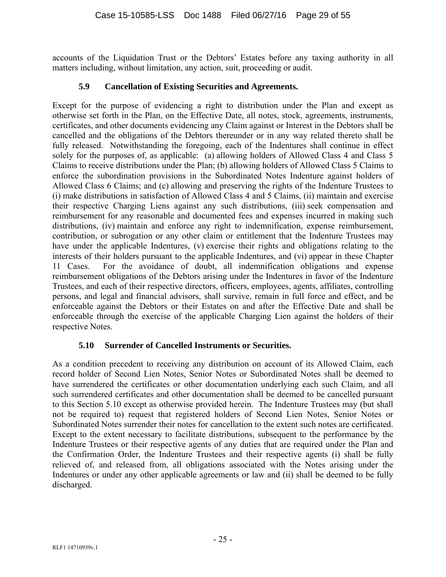accounts of the Liquidation Trust or the Debtors' Estates before any taxing authority in all matters including, without limitation, any action, suit, proceeding or audit.

## **5.9 Cancellation of Existing Securities and Agreements.**

Except for the purpose of evidencing a right to distribution under the Plan and except as otherwise set forth in the Plan, on the Effective Date, all notes, stock, agreements, instruments, certificates, and other documents evidencing any Claim against or Interest in the Debtors shall be cancelled and the obligations of the Debtors thereunder or in any way related thereto shall be fully released. Notwithstanding the foregoing, each of the Indentures shall continue in effect solely for the purposes of, as applicable: (a) allowing holders of Allowed Class 4 and Class 5 Claims to receive distributions under the Plan; (b) allowing holders of Allowed Class 5 Claims to enforce the subordination provisions in the Subordinated Notes Indenture against holders of Allowed Class 6 Claims; and (c) allowing and preserving the rights of the Indenture Trustees to (i) make distributions in satisfaction of Allowed Class 4 and 5 Claims, (ii) maintain and exercise their respective Charging Liens against any such distributions, (iii) seek compensation and reimbursement for any reasonable and documented fees and expenses incurred in making such distributions, (iv) maintain and enforce any right to indemnification, expense reimbursement, contribution, or subrogation or any other claim or entitlement that the Indenture Trustees may have under the applicable Indentures, (v) exercise their rights and obligations relating to the interests of their holders pursuant to the applicable Indentures, and (vi) appear in these Chapter 11 Cases. For the avoidance of doubt, all indemnification obligations and expense reimbursement obligations of the Debtors arising under the Indentures in favor of the Indenture Trustees, and each of their respective directors, officers, employees, agents, affiliates, controlling persons, and legal and financial advisors, shall survive, remain in full force and effect, and be enforceable against the Debtors or their Estates on and after the Effective Date and shall be enforceable through the exercise of the applicable Charging Lien against the holders of their respective Notes.

## **5.10 Surrender of Cancelled Instruments or Securities.**

As a condition precedent to receiving any distribution on account of its Allowed Claim, each record holder of Second Lien Notes, Senior Notes or Subordinated Notes shall be deemed to have surrendered the certificates or other documentation underlying each such Claim, and all such surrendered certificates and other documentation shall be deemed to be cancelled pursuant to this Section 5.10 except as otherwise provided herein. The Indenture Trustees may (but shall not be required to) request that registered holders of Second Lien Notes, Senior Notes or Subordinated Notes surrender their notes for cancellation to the extent such notes are certificated. Except to the extent necessary to facilitate distributions, subsequent to the performance by the Indenture Trustees or their respective agents of any duties that are required under the Plan and the Confirmation Order, the Indenture Trustees and their respective agents (i) shall be fully relieved of, and released from, all obligations associated with the Notes arising under the Indentures or under any other applicable agreements or law and (ii) shall be deemed to be fully discharged.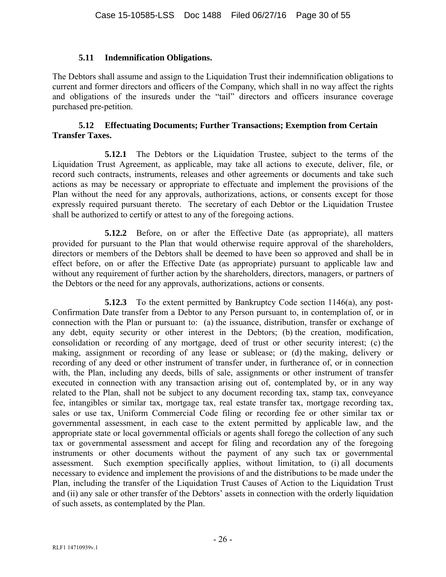#### **5.11 Indemnification Obligations.**

The Debtors shall assume and assign to the Liquidation Trust their indemnification obligations to current and former directors and officers of the Company, which shall in no way affect the rights and obligations of the insureds under the "tail" directors and officers insurance coverage purchased pre-petition.

#### **5.12 Effectuating Documents; Further Transactions; Exemption from Certain Transfer Taxes.**

**5.12.1** The Debtors or the Liquidation Trustee, subject to the terms of the Liquidation Trust Agreement, as applicable, may take all actions to execute, deliver, file, or record such contracts, instruments, releases and other agreements or documents and take such actions as may be necessary or appropriate to effectuate and implement the provisions of the Plan without the need for any approvals, authorizations, actions, or consents except for those expressly required pursuant thereto. The secretary of each Debtor or the Liquidation Trustee shall be authorized to certify or attest to any of the foregoing actions.

**5.12.2** Before, on or after the Effective Date (as appropriate), all matters provided for pursuant to the Plan that would otherwise require approval of the shareholders, directors or members of the Debtors shall be deemed to have been so approved and shall be in effect before, on or after the Effective Date (as appropriate) pursuant to applicable law and without any requirement of further action by the shareholders, directors, managers, or partners of the Debtors or the need for any approvals, authorizations, actions or consents.

**5.12.3** To the extent permitted by Bankruptcy Code section 1146(a), any post-Confirmation Date transfer from a Debtor to any Person pursuant to, in contemplation of, or in connection with the Plan or pursuant to: (a) the issuance, distribution, transfer or exchange of any debt, equity security or other interest in the Debtors; (b) the creation, modification, consolidation or recording of any mortgage, deed of trust or other security interest; (c) the making, assignment or recording of any lease or sublease; or (d) the making, delivery or recording of any deed or other instrument of transfer under, in furtherance of, or in connection with, the Plan, including any deeds, bills of sale, assignments or other instrument of transfer executed in connection with any transaction arising out of, contemplated by, or in any way related to the Plan, shall not be subject to any document recording tax, stamp tax, conveyance fee, intangibles or similar tax, mortgage tax, real estate transfer tax, mortgage recording tax, sales or use tax, Uniform Commercial Code filing or recording fee or other similar tax or governmental assessment, in each case to the extent permitted by applicable law, and the appropriate state or local governmental officials or agents shall forego the collection of any such tax or governmental assessment and accept for filing and recordation any of the foregoing instruments or other documents without the payment of any such tax or governmental assessment. Such exemption specifically applies, without limitation, to (i) all documents necessary to evidence and implement the provisions of and the distributions to be made under the Plan, including the transfer of the Liquidation Trust Causes of Action to the Liquidation Trust and (ii) any sale or other transfer of the Debtors' assets in connection with the orderly liquidation of such assets, as contemplated by the Plan.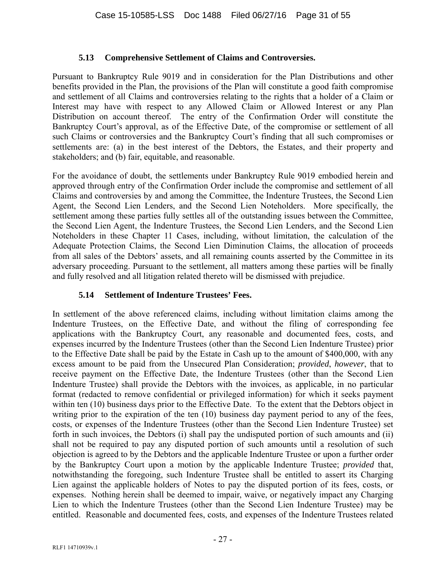## **5.13 Comprehensive Settlement of Claims and Controversies.**

Pursuant to Bankruptcy Rule 9019 and in consideration for the Plan Distributions and other benefits provided in the Plan, the provisions of the Plan will constitute a good faith compromise and settlement of all Claims and controversies relating to the rights that a holder of a Claim or Interest may have with respect to any Allowed Claim or Allowed Interest or any Plan Distribution on account thereof. The entry of the Confirmation Order will constitute the Bankruptcy Court's approval, as of the Effective Date, of the compromise or settlement of all such Claims or controversies and the Bankruptcy Court's finding that all such compromises or settlements are: (a) in the best interest of the Debtors, the Estates, and their property and stakeholders; and (b) fair, equitable, and reasonable.

For the avoidance of doubt, the settlements under Bankruptcy Rule 9019 embodied herein and approved through entry of the Confirmation Order include the compromise and settlement of all Claims and controversies by and among the Committee, the Indenture Trustees, the Second Lien Agent, the Second Lien Lenders, and the Second Lien Noteholders. More specifically, the settlement among these parties fully settles all of the outstanding issues between the Committee, the Second Lien Agent, the Indenture Trustees, the Second Lien Lenders, and the Second Lien Noteholders in these Chapter 11 Cases, including, without limitation, the calculation of the Adequate Protection Claims, the Second Lien Diminution Claims, the allocation of proceeds from all sales of the Debtors' assets, and all remaining counts asserted by the Committee in its adversary proceeding. Pursuant to the settlement, all matters among these parties will be finally and fully resolved and all litigation related thereto will be dismissed with prejudice.

# **5.14 Settlement of Indenture Trustees' Fees.**

In settlement of the above referenced claims, including without limitation claims among the Indenture Trustees, on the Effective Date, and without the filing of corresponding fee applications with the Bankruptcy Court, any reasonable and documented fees, costs, and expenses incurred by the Indenture Trustees (other than the Second Lien Indenture Trustee) prior to the Effective Date shall be paid by the Estate in Cash up to the amount of \$400,000, with any excess amount to be paid from the Unsecured Plan Consideration; *provided*, *however*, that to receive payment on the Effective Date, the Indenture Trustees (other than the Second Lien Indenture Trustee) shall provide the Debtors with the invoices, as applicable, in no particular format (redacted to remove confidential or privileged information) for which it seeks payment within ten (10) business days prior to the Effective Date. To the extent that the Debtors object in writing prior to the expiration of the ten (10) business day payment period to any of the fees, costs, or expenses of the Indenture Trustees (other than the Second Lien Indenture Trustee) set forth in such invoices, the Debtors (i) shall pay the undisputed portion of such amounts and (ii) shall not be required to pay any disputed portion of such amounts until a resolution of such objection is agreed to by the Debtors and the applicable Indenture Trustee or upon a further order by the Bankruptcy Court upon a motion by the applicable Indenture Trustee; *provided* that, notwithstanding the foregoing, such Indenture Trustee shall be entitled to assert its Charging Lien against the applicable holders of Notes to pay the disputed portion of its fees, costs, or expenses. Nothing herein shall be deemed to impair, waive, or negatively impact any Charging Lien to which the Indenture Trustees (other than the Second Lien Indenture Trustee) may be entitled. Reasonable and documented fees, costs, and expenses of the Indenture Trustees related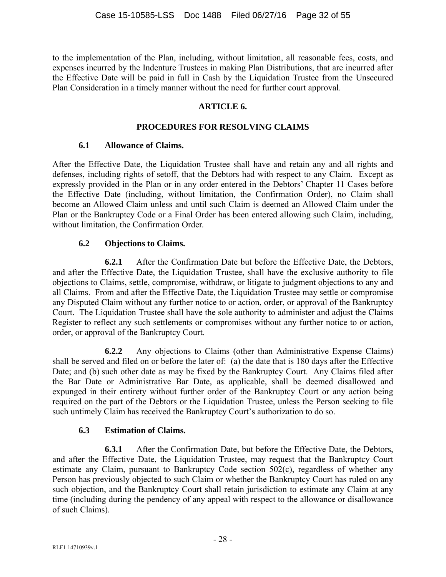to the implementation of the Plan, including, without limitation, all reasonable fees, costs, and expenses incurred by the Indenture Trustees in making Plan Distributions, that are incurred after the Effective Date will be paid in full in Cash by the Liquidation Trustee from the Unsecured Plan Consideration in a timely manner without the need for further court approval.

## **ARTICLE 6.**

## **PROCEDURES FOR RESOLVING CLAIMS**

## **6.1 Allowance of Claims.**

After the Effective Date, the Liquidation Trustee shall have and retain any and all rights and defenses, including rights of setoff, that the Debtors had with respect to any Claim. Except as expressly provided in the Plan or in any order entered in the Debtors' Chapter 11 Cases before the Effective Date (including, without limitation, the Confirmation Order), no Claim shall become an Allowed Claim unless and until such Claim is deemed an Allowed Claim under the Plan or the Bankruptcy Code or a Final Order has been entered allowing such Claim, including, without limitation, the Confirmation Order.

## **6.2 Objections to Claims.**

**6.2.1** After the Confirmation Date but before the Effective Date, the Debtors, and after the Effective Date, the Liquidation Trustee, shall have the exclusive authority to file objections to Claims, settle, compromise, withdraw, or litigate to judgment objections to any and all Claims. From and after the Effective Date, the Liquidation Trustee may settle or compromise any Disputed Claim without any further notice to or action, order, or approval of the Bankruptcy Court. The Liquidation Trustee shall have the sole authority to administer and adjust the Claims Register to reflect any such settlements or compromises without any further notice to or action, order, or approval of the Bankruptcy Court.

**6.2.2** Any objections to Claims (other than Administrative Expense Claims) shall be served and filed on or before the later of: (a) the date that is 180 days after the Effective Date; and (b) such other date as may be fixed by the Bankruptcy Court. Any Claims filed after the Bar Date or Administrative Bar Date, as applicable, shall be deemed disallowed and expunged in their entirety without further order of the Bankruptcy Court or any action being required on the part of the Debtors or the Liquidation Trustee, unless the Person seeking to file such untimely Claim has received the Bankruptcy Court's authorization to do so.

# **6.3 Estimation of Claims.**

**6.3.1** After the Confirmation Date, but before the Effective Date, the Debtors, and after the Effective Date, the Liquidation Trustee, may request that the Bankruptcy Court estimate any Claim, pursuant to Bankruptcy Code section 502(c), regardless of whether any Person has previously objected to such Claim or whether the Bankruptcy Court has ruled on any such objection, and the Bankruptcy Court shall retain jurisdiction to estimate any Claim at any time (including during the pendency of any appeal with respect to the allowance or disallowance of such Claims).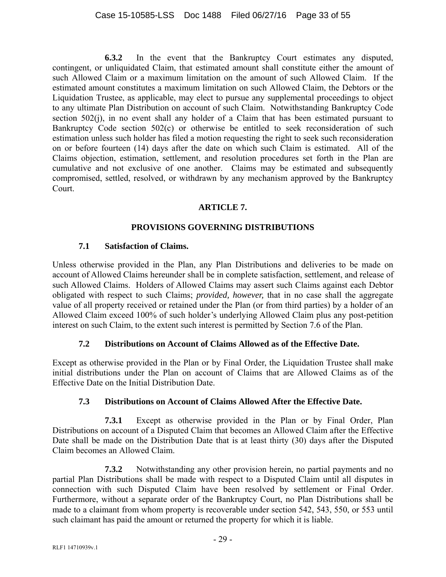**6.3.2** In the event that the Bankruptcy Court estimates any disputed, contingent, or unliquidated Claim, that estimated amount shall constitute either the amount of such Allowed Claim or a maximum limitation on the amount of such Allowed Claim. If the estimated amount constitutes a maximum limitation on such Allowed Claim, the Debtors or the Liquidation Trustee, as applicable, may elect to pursue any supplemental proceedings to object to any ultimate Plan Distribution on account of such Claim. Notwithstanding Bankruptcy Code section 502(j), in no event shall any holder of a Claim that has been estimated pursuant to Bankruptcy Code section 502(c) or otherwise be entitled to seek reconsideration of such estimation unless such holder has filed a motion requesting the right to seek such reconsideration on or before fourteen (14) days after the date on which such Claim is estimated. All of the Claims objection, estimation, settlement, and resolution procedures set forth in the Plan are cumulative and not exclusive of one another. Claims may be estimated and subsequently compromised, settled, resolved, or withdrawn by any mechanism approved by the Bankruptcy Court.

## **ARTICLE 7.**

## **PROVISIONS GOVERNING DISTRIBUTIONS**

## **7.1 Satisfaction of Claims.**

Unless otherwise provided in the Plan, any Plan Distributions and deliveries to be made on account of Allowed Claims hereunder shall be in complete satisfaction, settlement, and release of such Allowed Claims. Holders of Allowed Claims may assert such Claims against each Debtor obligated with respect to such Claims; *provided, however,* that in no case shall the aggregate value of all property received or retained under the Plan (or from third parties) by a holder of an Allowed Claim exceed 100% of such holder's underlying Allowed Claim plus any post-petition interest on such Claim, to the extent such interest is permitted by Section 7.6 of the Plan.

# **7.2 Distributions on Account of Claims Allowed as of the Effective Date.**

Except as otherwise provided in the Plan or by Final Order, the Liquidation Trustee shall make initial distributions under the Plan on account of Claims that are Allowed Claims as of the Effective Date on the Initial Distribution Date.

## **7.3 Distributions on Account of Claims Allowed After the Effective Date.**

**7.3.1** Except as otherwise provided in the Plan or by Final Order, Plan Distributions on account of a Disputed Claim that becomes an Allowed Claim after the Effective Date shall be made on the Distribution Date that is at least thirty (30) days after the Disputed Claim becomes an Allowed Claim.

**7.3.2** Notwithstanding any other provision herein, no partial payments and no partial Plan Distributions shall be made with respect to a Disputed Claim until all disputes in connection with such Disputed Claim have been resolved by settlement or Final Order. Furthermore, without a separate order of the Bankruptcy Court, no Plan Distributions shall be made to a claimant from whom property is recoverable under section 542, 543, 550, or 553 until such claimant has paid the amount or returned the property for which it is liable.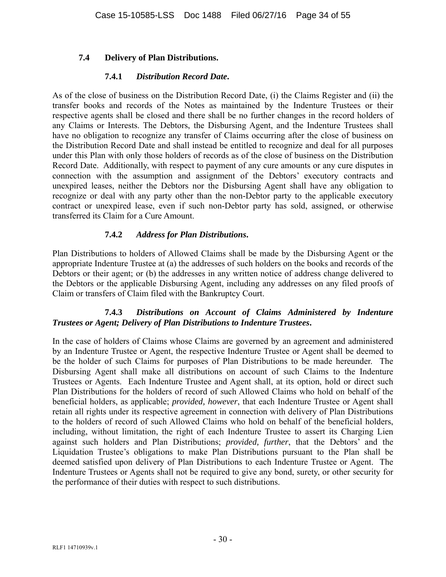## **7.4 Delivery of Plan Distributions.**

#### **7.4.1** *Distribution Record Date***.**

As of the close of business on the Distribution Record Date, (i) the Claims Register and (ii) the transfer books and records of the Notes as maintained by the Indenture Trustees or their respective agents shall be closed and there shall be no further changes in the record holders of any Claims or Interests. The Debtors, the Disbursing Agent, and the Indenture Trustees shall have no obligation to recognize any transfer of Claims occurring after the close of business on the Distribution Record Date and shall instead be entitled to recognize and deal for all purposes under this Plan with only those holders of records as of the close of business on the Distribution Record Date. Additionally, with respect to payment of any cure amounts or any cure disputes in connection with the assumption and assignment of the Debtors' executory contracts and unexpired leases, neither the Debtors nor the Disbursing Agent shall have any obligation to recognize or deal with any party other than the non-Debtor party to the applicable executory contract or unexpired lease, even if such non-Debtor party has sold, assigned, or otherwise transferred its Claim for a Cure Amount.

## **7.4.2** *Address for Plan Distributions***.**

Plan Distributions to holders of Allowed Claims shall be made by the Disbursing Agent or the appropriate Indenture Trustee at (a) the addresses of such holders on the books and records of the Debtors or their agent; or (b) the addresses in any written notice of address change delivered to the Debtors or the applicable Disbursing Agent, including any addresses on any filed proofs of Claim or transfers of Claim filed with the Bankruptcy Court.

## **7.4.3** *Distributions on Account of Claims Administered by Indenture Trustees or Agent; Delivery of Plan Distributions to Indenture Trustees***.**

In the case of holders of Claims whose Claims are governed by an agreement and administered by an Indenture Trustee or Agent, the respective Indenture Trustee or Agent shall be deemed to be the holder of such Claims for purposes of Plan Distributions to be made hereunder. The Disbursing Agent shall make all distributions on account of such Claims to the Indenture Trustees or Agents. Each Indenture Trustee and Agent shall, at its option, hold or direct such Plan Distributions for the holders of record of such Allowed Claims who hold on behalf of the beneficial holders, as applicable; *provided, however*, that each Indenture Trustee or Agent shall retain all rights under its respective agreement in connection with delivery of Plan Distributions to the holders of record of such Allowed Claims who hold on behalf of the beneficial holders, including, without limitation, the right of each Indenture Trustee to assert its Charging Lien against such holders and Plan Distributions; *provided, further*, that the Debtors' and the Liquidation Trustee's obligations to make Plan Distributions pursuant to the Plan shall be deemed satisfied upon delivery of Plan Distributions to each Indenture Trustee or Agent. The Indenture Trustees or Agents shall not be required to give any bond, surety, or other security for the performance of their duties with respect to such distributions.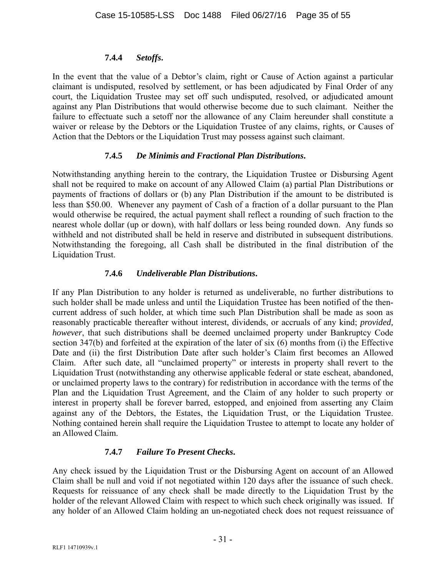## **7.4.4** *Setoffs***.**

In the event that the value of a Debtor's claim, right or Cause of Action against a particular claimant is undisputed, resolved by settlement, or has been adjudicated by Final Order of any court, the Liquidation Trustee may set off such undisputed, resolved, or adjudicated amount against any Plan Distributions that would otherwise become due to such claimant. Neither the failure to effectuate such a setoff nor the allowance of any Claim hereunder shall constitute a waiver or release by the Debtors or the Liquidation Trustee of any claims, rights, or Causes of Action that the Debtors or the Liquidation Trust may possess against such claimant.

## **7.4.5** *De Minimis and Fractional Plan Distributions***.**

Notwithstanding anything herein to the contrary, the Liquidation Trustee or Disbursing Agent shall not be required to make on account of any Allowed Claim (a) partial Plan Distributions or payments of fractions of dollars or (b) any Plan Distribution if the amount to be distributed is less than \$50.00. Whenever any payment of Cash of a fraction of a dollar pursuant to the Plan would otherwise be required, the actual payment shall reflect a rounding of such fraction to the nearest whole dollar (up or down), with half dollars or less being rounded down. Any funds so withheld and not distributed shall be held in reserve and distributed in subsequent distributions. Notwithstanding the foregoing, all Cash shall be distributed in the final distribution of the Liquidation Trust.

# **7.4.6** *Undeliverable Plan Distributions***.**

If any Plan Distribution to any holder is returned as undeliverable, no further distributions to such holder shall be made unless and until the Liquidation Trustee has been notified of the thencurrent address of such holder, at which time such Plan Distribution shall be made as soon as reasonably practicable thereafter without interest, dividends, or accruals of any kind; *provided, however*, that such distributions shall be deemed unclaimed property under Bankruptcy Code section 347(b) and forfeited at the expiration of the later of six (6) months from (i) the Effective Date and (ii) the first Distribution Date after such holder's Claim first becomes an Allowed Claim. After such date, all "unclaimed property" or interests in property shall revert to the Liquidation Trust (notwithstanding any otherwise applicable federal or state escheat, abandoned, or unclaimed property laws to the contrary) for redistribution in accordance with the terms of the Plan and the Liquidation Trust Agreement, and the Claim of any holder to such property or interest in property shall be forever barred, estopped, and enjoined from asserting any Claim against any of the Debtors, the Estates, the Liquidation Trust, or the Liquidation Trustee. Nothing contained herein shall require the Liquidation Trustee to attempt to locate any holder of an Allowed Claim.

# **7.4.7** *Failure To Present Checks***.**

Any check issued by the Liquidation Trust or the Disbursing Agent on account of an Allowed Claim shall be null and void if not negotiated within 120 days after the issuance of such check. Requests for reissuance of any check shall be made directly to the Liquidation Trust by the holder of the relevant Allowed Claim with respect to which such check originally was issued. If any holder of an Allowed Claim holding an un-negotiated check does not request reissuance of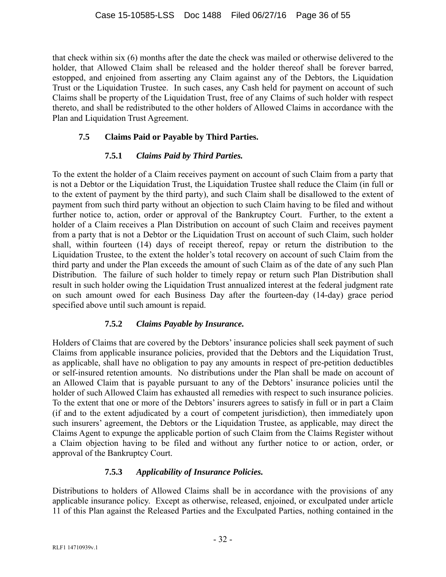that check within six (6) months after the date the check was mailed or otherwise delivered to the holder, that Allowed Claim shall be released and the holder thereof shall be forever barred, estopped, and enjoined from asserting any Claim against any of the Debtors, the Liquidation Trust or the Liquidation Trustee. In such cases, any Cash held for payment on account of such Claims shall be property of the Liquidation Trust, free of any Claims of such holder with respect thereto, and shall be redistributed to the other holders of Allowed Claims in accordance with the Plan and Liquidation Trust Agreement.

# **7.5 Claims Paid or Payable by Third Parties.**

# **7.5.1** *Claims Paid by Third Parties.*

To the extent the holder of a Claim receives payment on account of such Claim from a party that is not a Debtor or the Liquidation Trust, the Liquidation Trustee shall reduce the Claim (in full or to the extent of payment by the third party), and such Claim shall be disallowed to the extent of payment from such third party without an objection to such Claim having to be filed and without further notice to, action, order or approval of the Bankruptcy Court. Further, to the extent a holder of a Claim receives a Plan Distribution on account of such Claim and receives payment from a party that is not a Debtor or the Liquidation Trust on account of such Claim, such holder shall, within fourteen (14) days of receipt thereof, repay or return the distribution to the Liquidation Trustee, to the extent the holder's total recovery on account of such Claim from the third party and under the Plan exceeds the amount of such Claim as of the date of any such Plan Distribution. The failure of such holder to timely repay or return such Plan Distribution shall result in such holder owing the Liquidation Trust annualized interest at the federal judgment rate on such amount owed for each Business Day after the fourteen-day (14-day) grace period specified above until such amount is repaid.

# **7.5.2** *Claims Payable by Insurance.*

Holders of Claims that are covered by the Debtors' insurance policies shall seek payment of such Claims from applicable insurance policies, provided that the Debtors and the Liquidation Trust, as applicable, shall have no obligation to pay any amounts in respect of pre-petition deductibles or self-insured retention amounts. No distributions under the Plan shall be made on account of an Allowed Claim that is payable pursuant to any of the Debtors' insurance policies until the holder of such Allowed Claim has exhausted all remedies with respect to such insurance policies. To the extent that one or more of the Debtors' insurers agrees to satisfy in full or in part a Claim (if and to the extent adjudicated by a court of competent jurisdiction), then immediately upon such insurers' agreement, the Debtors or the Liquidation Trustee, as applicable, may direct the Claims Agent to expunge the applicable portion of such Claim from the Claims Register without a Claim objection having to be filed and without any further notice to or action, order, or approval of the Bankruptcy Court.

# **7.5.3** *Applicability of Insurance Policies.*

Distributions to holders of Allowed Claims shall be in accordance with the provisions of any applicable insurance policy. Except as otherwise, released, enjoined, or exculpated under article 11 of this Plan against the Released Parties and the Exculpated Parties, nothing contained in the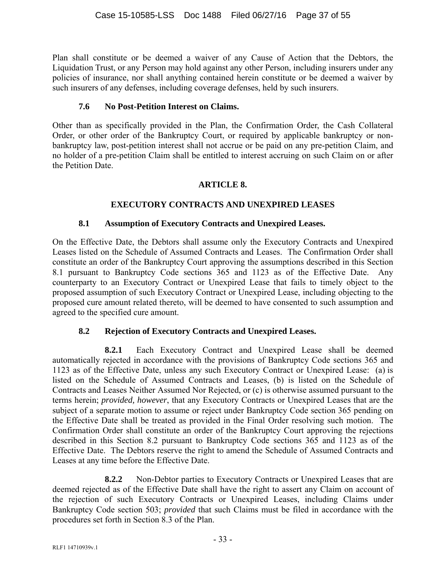Plan shall constitute or be deemed a waiver of any Cause of Action that the Debtors, the Liquidation Trust, or any Person may hold against any other Person, including insurers under any policies of insurance, nor shall anything contained herein constitute or be deemed a waiver by such insurers of any defenses, including coverage defenses, held by such insurers.

## **7.6 No Post-Petition Interest on Claims.**

Other than as specifically provided in the Plan, the Confirmation Order, the Cash Collateral Order, or other order of the Bankruptcy Court, or required by applicable bankruptcy or nonbankruptcy law, post-petition interest shall not accrue or be paid on any pre-petition Claim, and no holder of a pre-petition Claim shall be entitled to interest accruing on such Claim on or after the Petition Date.

# **ARTICLE 8.**

# **EXECUTORY CONTRACTS AND UNEXPIRED LEASES**

## **8.1 Assumption of Executory Contracts and Unexpired Leases.**

On the Effective Date, the Debtors shall assume only the Executory Contracts and Unexpired Leases listed on the Schedule of Assumed Contracts and Leases. The Confirmation Order shall constitute an order of the Bankruptcy Court approving the assumptions described in this Section 8.1 pursuant to Bankruptcy Code sections 365 and 1123 as of the Effective Date. Any counterparty to an Executory Contract or Unexpired Lease that fails to timely object to the proposed assumption of such Executory Contract or Unexpired Lease, including objecting to the proposed cure amount related thereto, will be deemed to have consented to such assumption and agreed to the specified cure amount.

## **8.2 Rejection of Executory Contracts and Unexpired Leases.**

**8.2.1** Each Executory Contract and Unexpired Lease shall be deemed automatically rejected in accordance with the provisions of Bankruptcy Code sections 365 and 1123 as of the Effective Date, unless any such Executory Contract or Unexpired Lease: (a) is listed on the Schedule of Assumed Contracts and Leases, (b) is listed on the Schedule of Contracts and Leases Neither Assumed Nor Rejected, or (c) is otherwise assumed pursuant to the terms herein; *provided, however*, that any Executory Contracts or Unexpired Leases that are the subject of a separate motion to assume or reject under Bankruptcy Code section 365 pending on the Effective Date shall be treated as provided in the Final Order resolving such motion. The Confirmation Order shall constitute an order of the Bankruptcy Court approving the rejections described in this Section 8.2 pursuant to Bankruptcy Code sections 365 and 1123 as of the Effective Date. The Debtors reserve the right to amend the Schedule of Assumed Contracts and Leases at any time before the Effective Date.

**8.2.2** Non-Debtor parties to Executory Contracts or Unexpired Leases that are deemed rejected as of the Effective Date shall have the right to assert any Claim on account of the rejection of such Executory Contracts or Unexpired Leases, including Claims under Bankruptcy Code section 503; *provided* that such Claims must be filed in accordance with the procedures set forth in Section 8.3 of the Plan.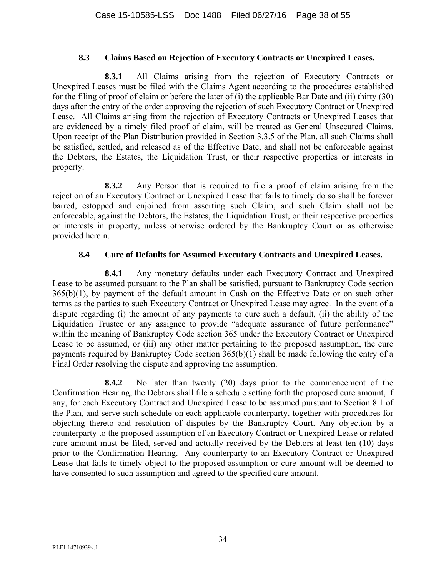#### **8.3 Claims Based on Rejection of Executory Contracts or Unexpired Leases.**

**8.3.1** All Claims arising from the rejection of Executory Contracts or Unexpired Leases must be filed with the Claims Agent according to the procedures established for the filing of proof of claim or before the later of (i) the applicable Bar Date and (ii) thirty (30) days after the entry of the order approving the rejection of such Executory Contract or Unexpired Lease. All Claims arising from the rejection of Executory Contracts or Unexpired Leases that are evidenced by a timely filed proof of claim, will be treated as General Unsecured Claims. Upon receipt of the Plan Distribution provided in Section 3.3.5 of the Plan, all such Claims shall be satisfied, settled, and released as of the Effective Date, and shall not be enforceable against the Debtors, the Estates, the Liquidation Trust, or their respective properties or interests in property.

**8.3.2** Any Person that is required to file a proof of claim arising from the rejection of an Executory Contract or Unexpired Lease that fails to timely do so shall be forever barred, estopped and enjoined from asserting such Claim, and such Claim shall not be enforceable, against the Debtors, the Estates, the Liquidation Trust, or their respective properties or interests in property, unless otherwise ordered by the Bankruptcy Court or as otherwise provided herein.

## **8.4 Cure of Defaults for Assumed Executory Contracts and Unexpired Leases.**

**8.4.1** Any monetary defaults under each Executory Contract and Unexpired Lease to be assumed pursuant to the Plan shall be satisfied, pursuant to Bankruptcy Code section 365(b)(1), by payment of the default amount in Cash on the Effective Date or on such other terms as the parties to such Executory Contract or Unexpired Lease may agree. In the event of a dispute regarding (i) the amount of any payments to cure such a default, (ii) the ability of the Liquidation Trustee or any assignee to provide "adequate assurance of future performance" within the meaning of Bankruptcy Code section 365 under the Executory Contract or Unexpired Lease to be assumed, or (iii) any other matter pertaining to the proposed assumption, the cure payments required by Bankruptcy Code section 365(b)(1) shall be made following the entry of a Final Order resolving the dispute and approving the assumption.

**8.4.2** No later than twenty (20) days prior to the commencement of the Confirmation Hearing, the Debtors shall file a schedule setting forth the proposed cure amount, if any, for each Executory Contract and Unexpired Lease to be assumed pursuant to Section 8.1 of the Plan, and serve such schedule on each applicable counterparty, together with procedures for objecting thereto and resolution of disputes by the Bankruptcy Court. Any objection by a counterparty to the proposed assumption of an Executory Contract or Unexpired Lease or related cure amount must be filed, served and actually received by the Debtors at least ten (10) days prior to the Confirmation Hearing. Any counterparty to an Executory Contract or Unexpired Lease that fails to timely object to the proposed assumption or cure amount will be deemed to have consented to such assumption and agreed to the specified cure amount.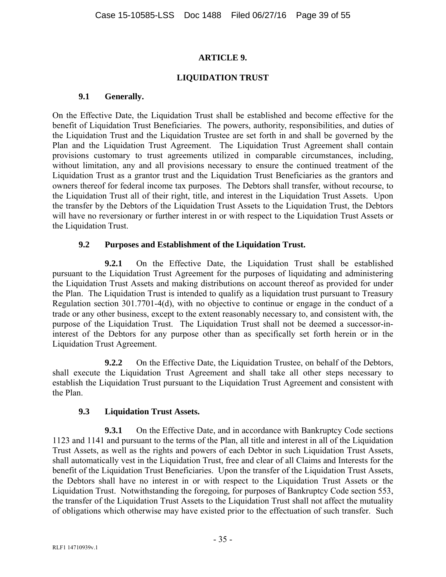## **ARTICLE 9.**

#### **LIQUIDATION TRUST**

#### **9.1 Generally.**

On the Effective Date, the Liquidation Trust shall be established and become effective for the benefit of Liquidation Trust Beneficiaries. The powers, authority, responsibilities, and duties of the Liquidation Trust and the Liquidation Trustee are set forth in and shall be governed by the Plan and the Liquidation Trust Agreement. The Liquidation Trust Agreement shall contain provisions customary to trust agreements utilized in comparable circumstances, including, without limitation, any and all provisions necessary to ensure the continued treatment of the Liquidation Trust as a grantor trust and the Liquidation Trust Beneficiaries as the grantors and owners thereof for federal income tax purposes. The Debtors shall transfer, without recourse, to the Liquidation Trust all of their right, title, and interest in the Liquidation Trust Assets. Upon the transfer by the Debtors of the Liquidation Trust Assets to the Liquidation Trust, the Debtors will have no reversionary or further interest in or with respect to the Liquidation Trust Assets or the Liquidation Trust.

## **9.2 Purposes and Establishment of the Liquidation Trust.**

**9.2.1** On the Effective Date, the Liquidation Trust shall be established pursuant to the Liquidation Trust Agreement for the purposes of liquidating and administering the Liquidation Trust Assets and making distributions on account thereof as provided for under the Plan. The Liquidation Trust is intended to qualify as a liquidation trust pursuant to Treasury Regulation section 301.7701-4(d), with no objective to continue or engage in the conduct of a trade or any other business, except to the extent reasonably necessary to, and consistent with, the purpose of the Liquidation Trust. The Liquidation Trust shall not be deemed a successor-ininterest of the Debtors for any purpose other than as specifically set forth herein or in the Liquidation Trust Agreement.

**9.2.2** On the Effective Date, the Liquidation Trustee, on behalf of the Debtors, shall execute the Liquidation Trust Agreement and shall take all other steps necessary to establish the Liquidation Trust pursuant to the Liquidation Trust Agreement and consistent with the Plan.

## **9.3 Liquidation Trust Assets.**

**9.3.1** On the Effective Date, and in accordance with Bankruptcy Code sections 1123 and 1141 and pursuant to the terms of the Plan, all title and interest in all of the Liquidation Trust Assets, as well as the rights and powers of each Debtor in such Liquidation Trust Assets, shall automatically vest in the Liquidation Trust, free and clear of all Claims and Interests for the benefit of the Liquidation Trust Beneficiaries. Upon the transfer of the Liquidation Trust Assets, the Debtors shall have no interest in or with respect to the Liquidation Trust Assets or the Liquidation Trust. Notwithstanding the foregoing, for purposes of Bankruptcy Code section 553, the transfer of the Liquidation Trust Assets to the Liquidation Trust shall not affect the mutuality of obligations which otherwise may have existed prior to the effectuation of such transfer. Such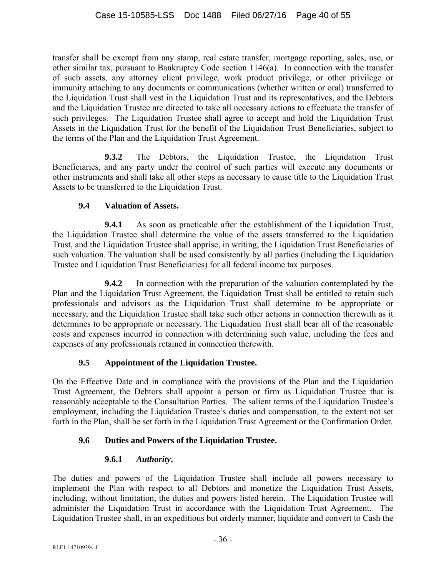transfer shall be exempt from any stamp, real estate transfer, mortgage reporting, sales, use, or other similar tax, pursuant to Bankruptcy Code section 1146(a). In connection with the transfer of such assets, any attorney client privilege, work product privilege, or other privilege or immunity attaching to any documents or communications (whether written or oral) transferred to the Liquidation Trust shall vest in the Liquidation Trust and its representatives, and the Debtors and the Liquidation Trustee are directed to take all necessary actions to effectuate the transfer of such privileges. The Liquidation Trustee shall agree to accept and hold the Liquidation Trust Assets in the Liquidation Trust for the benefit of the Liquidation Trust Beneficiaries, subject to the terms of the Plan and the Liquidation Trust Agreement.

**9.3.2** The Debtors, the Liquidation Trustee, the Liquidation Trust Beneficiaries, and any party under the control of such parties will execute any documents or other instruments and shall take all other steps as necessary to cause title to the Liquidation Trust Assets to be transferred to the Liquidation Trust.

# **9.4 Valuation of Assets.**

**9.4.1** As soon as practicable after the establishment of the Liquidation Trust, the Liquidation Trustee shall determine the value of the assets transferred to the Liquidation Trust, and the Liquidation Trustee shall apprise, in writing, the Liquidation Trust Beneficiaries of such valuation. The valuation shall be used consistently by all parties (including the Liquidation Trustee and Liquidation Trust Beneficiaries) for all federal income tax purposes.

**9.4.2** In connection with the preparation of the valuation contemplated by the Plan and the Liquidation Trust Agreement, the Liquidation Trust shall be entitled to retain such professionals and advisors as the Liquidation Trust shall determine to be appropriate or necessary, and the Liquidation Trustee shall take such other actions in connection therewith as it determines to be appropriate or necessary. The Liquidation Trust shall bear all of the reasonable costs and expenses incurred in connection with determining such value, including the fees and expenses of any professionals retained in connection therewith.

# **9.5 Appointment of the Liquidation Trustee.**

On the Effective Date and in compliance with the provisions of the Plan and the Liquidation Trust Agreement, the Debtors shall appoint a person or firm as Liquidation Trustee that is reasonably acceptable to the Consultation Parties. The salient terms of the Liquidation Trustee's employment, including the Liquidation Trustee's duties and compensation, to the extent not set forth in the Plan, shall be set forth in the Liquidation Trust Agreement or the Confirmation Order.

# **9.6 Duties and Powers of the Liquidation Trustee.**

# **9.6.1** *Authority***.**

The duties and powers of the Liquidation Trustee shall include all powers necessary to implement the Plan with respect to all Debtors and monetize the Liquidation Trust Assets, including, without limitation, the duties and powers listed herein. The Liquidation Trustee will administer the Liquidation Trust in accordance with the Liquidation Trust Agreement. The Liquidation Trustee shall, in an expeditious but orderly manner, liquidate and convert to Cash the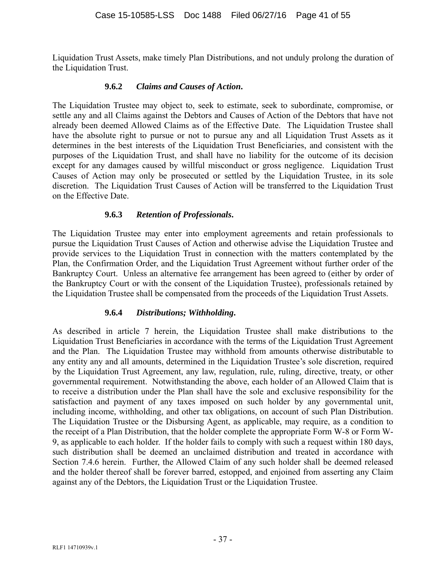Liquidation Trust Assets, make timely Plan Distributions, and not unduly prolong the duration of the Liquidation Trust.

#### **9.6.2** *Claims and Causes of Action***.**

The Liquidation Trustee may object to, seek to estimate, seek to subordinate, compromise, or settle any and all Claims against the Debtors and Causes of Action of the Debtors that have not already been deemed Allowed Claims as of the Effective Date. The Liquidation Trustee shall have the absolute right to pursue or not to pursue any and all Liquidation Trust Assets as it determines in the best interests of the Liquidation Trust Beneficiaries, and consistent with the purposes of the Liquidation Trust, and shall have no liability for the outcome of its decision except for any damages caused by willful misconduct or gross negligence. Liquidation Trust Causes of Action may only be prosecuted or settled by the Liquidation Trustee, in its sole discretion. The Liquidation Trust Causes of Action will be transferred to the Liquidation Trust on the Effective Date.

## **9.6.3** *Retention of Professionals***.**

The Liquidation Trustee may enter into employment agreements and retain professionals to pursue the Liquidation Trust Causes of Action and otherwise advise the Liquidation Trustee and provide services to the Liquidation Trust in connection with the matters contemplated by the Plan, the Confirmation Order, and the Liquidation Trust Agreement without further order of the Bankruptcy Court. Unless an alternative fee arrangement has been agreed to (either by order of the Bankruptcy Court or with the consent of the Liquidation Trustee), professionals retained by the Liquidation Trustee shall be compensated from the proceeds of the Liquidation Trust Assets.

## **9.6.4** *Distributions; Withholding***.**

As described in article 7 herein, the Liquidation Trustee shall make distributions to the Liquidation Trust Beneficiaries in accordance with the terms of the Liquidation Trust Agreement and the Plan. The Liquidation Trustee may withhold from amounts otherwise distributable to any entity any and all amounts, determined in the Liquidation Trustee's sole discretion, required by the Liquidation Trust Agreement, any law, regulation, rule, ruling, directive, treaty, or other governmental requirement. Notwithstanding the above, each holder of an Allowed Claim that is to receive a distribution under the Plan shall have the sole and exclusive responsibility for the satisfaction and payment of any taxes imposed on such holder by any governmental unit, including income, withholding, and other tax obligations, on account of such Plan Distribution. The Liquidation Trustee or the Disbursing Agent, as applicable, may require, as a condition to the receipt of a Plan Distribution, that the holder complete the appropriate Form W-8 or Form W-9, as applicable to each holder. If the holder fails to comply with such a request within 180 days, such distribution shall be deemed an unclaimed distribution and treated in accordance with Section 7.4.6 herein. Further, the Allowed Claim of any such holder shall be deemed released and the holder thereof shall be forever barred, estopped, and enjoined from asserting any Claim against any of the Debtors, the Liquidation Trust or the Liquidation Trustee.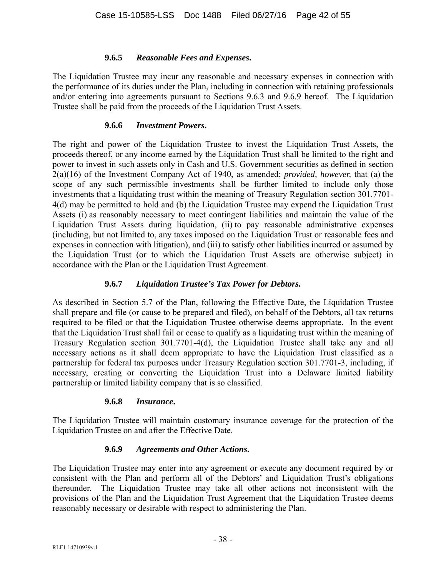## **9.6.5** *Reasonable Fees and Expenses***.**

The Liquidation Trustee may incur any reasonable and necessary expenses in connection with the performance of its duties under the Plan, including in connection with retaining professionals and/or entering into agreements pursuant to Sections 9.6.3 and 9.6.9 hereof. The Liquidation Trustee shall be paid from the proceeds of the Liquidation Trust Assets.

#### **9.6.6** *Investment Powers***.**

The right and power of the Liquidation Trustee to invest the Liquidation Trust Assets, the proceeds thereof, or any income earned by the Liquidation Trust shall be limited to the right and power to invest in such assets only in Cash and U.S. Government securities as defined in section 2(a)(16) of the Investment Company Act of 1940, as amended; *provided, however,* that (a) the scope of any such permissible investments shall be further limited to include only those investments that a liquidating trust within the meaning of Treasury Regulation section 301.7701- 4(d) may be permitted to hold and (b) the Liquidation Trustee may expend the Liquidation Trust Assets (i) as reasonably necessary to meet contingent liabilities and maintain the value of the Liquidation Trust Assets during liquidation, (ii) to pay reasonable administrative expenses (including, but not limited to, any taxes imposed on the Liquidation Trust or reasonable fees and expenses in connection with litigation), and (iii) to satisfy other liabilities incurred or assumed by the Liquidation Trust (or to which the Liquidation Trust Assets are otherwise subject) in accordance with the Plan or the Liquidation Trust Agreement.

## **9.6.7** *Liquidation Trustee's Tax Power for Debtors.*

As described in Section 5.7 of the Plan, following the Effective Date, the Liquidation Trustee shall prepare and file (or cause to be prepared and filed), on behalf of the Debtors, all tax returns required to be filed or that the Liquidation Trustee otherwise deems appropriate. In the event that the Liquidation Trust shall fail or cease to qualify as a liquidating trust within the meaning of Treasury Regulation section 301.7701-4(d), the Liquidation Trustee shall take any and all necessary actions as it shall deem appropriate to have the Liquidation Trust classified as a partnership for federal tax purposes under Treasury Regulation section 301.7701-3, including, if necessary, creating or converting the Liquidation Trust into a Delaware limited liability partnership or limited liability company that is so classified.

## **9.6.8** *Insurance***.**

The Liquidation Trustee will maintain customary insurance coverage for the protection of the Liquidation Trustee on and after the Effective Date.

## **9.6.9** *Agreements and Other Actions***.**

The Liquidation Trustee may enter into any agreement or execute any document required by or consistent with the Plan and perform all of the Debtors' and Liquidation Trust's obligations thereunder. The Liquidation Trustee may take all other actions not inconsistent with the provisions of the Plan and the Liquidation Trust Agreement that the Liquidation Trustee deems reasonably necessary or desirable with respect to administering the Plan.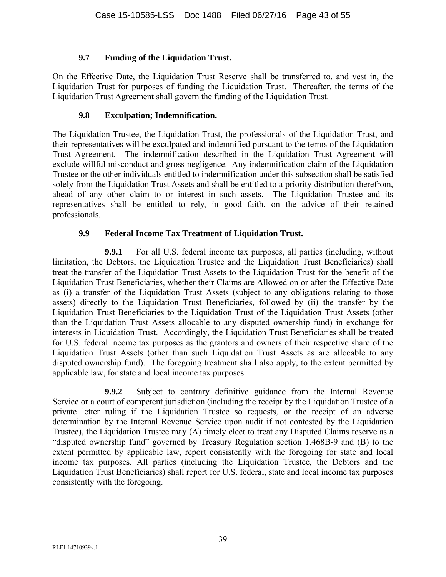## **9.7 Funding of the Liquidation Trust.**

On the Effective Date, the Liquidation Trust Reserve shall be transferred to, and vest in, the Liquidation Trust for purposes of funding the Liquidation Trust. Thereafter, the terms of the Liquidation Trust Agreement shall govern the funding of the Liquidation Trust.

## **9.8 Exculpation; Indemnification.**

The Liquidation Trustee, the Liquidation Trust, the professionals of the Liquidation Trust, and their representatives will be exculpated and indemnified pursuant to the terms of the Liquidation Trust Agreement. The indemnification described in the Liquidation Trust Agreement will exclude willful misconduct and gross negligence. Any indemnification claim of the Liquidation Trustee or the other individuals entitled to indemnification under this subsection shall be satisfied solely from the Liquidation Trust Assets and shall be entitled to a priority distribution therefrom, ahead of any other claim to or interest in such assets. The Liquidation Trustee and its representatives shall be entitled to rely, in good faith, on the advice of their retained professionals.

## **9.9 Federal Income Tax Treatment of Liquidation Trust.**

**9.9.1** For all U.S. federal income tax purposes, all parties (including, without limitation, the Debtors, the Liquidation Trustee and the Liquidation Trust Beneficiaries) shall treat the transfer of the Liquidation Trust Assets to the Liquidation Trust for the benefit of the Liquidation Trust Beneficiaries, whether their Claims are Allowed on or after the Effective Date as (i) a transfer of the Liquidation Trust Assets (subject to any obligations relating to those assets) directly to the Liquidation Trust Beneficiaries, followed by (ii) the transfer by the Liquidation Trust Beneficiaries to the Liquidation Trust of the Liquidation Trust Assets (other than the Liquidation Trust Assets allocable to any disputed ownership fund) in exchange for interests in Liquidation Trust. Accordingly, the Liquidation Trust Beneficiaries shall be treated for U.S. federal income tax purposes as the grantors and owners of their respective share of the Liquidation Trust Assets (other than such Liquidation Trust Assets as are allocable to any disputed ownership fund). The foregoing treatment shall also apply, to the extent permitted by applicable law, for state and local income tax purposes.

**9.9.2** Subject to contrary definitive guidance from the Internal Revenue Service or a court of competent jurisdiction (including the receipt by the Liquidation Trustee of a private letter ruling if the Liquidation Trustee so requests, or the receipt of an adverse determination by the Internal Revenue Service upon audit if not contested by the Liquidation Trustee), the Liquidation Trustee may (A) timely elect to treat any Disputed Claims reserve as a "disputed ownership fund" governed by Treasury Regulation section 1.468B-9 and (B) to the extent permitted by applicable law, report consistently with the foregoing for state and local income tax purposes. All parties (including the Liquidation Trustee, the Debtors and the Liquidation Trust Beneficiaries) shall report for U.S. federal, state and local income tax purposes consistently with the foregoing.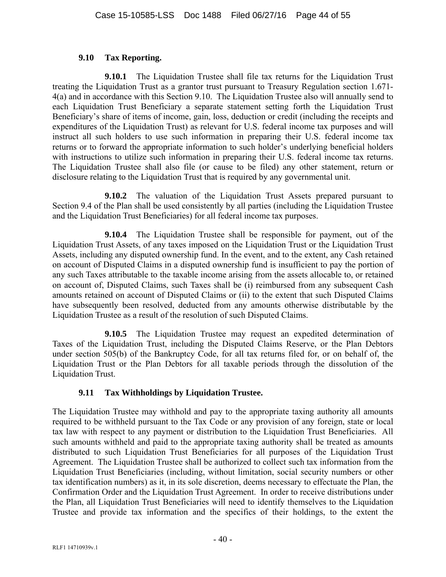#### **9.10 Tax Reporting.**

**9.10.1** The Liquidation Trustee shall file tax returns for the Liquidation Trust treating the Liquidation Trust as a grantor trust pursuant to Treasury Regulation section 1.671- 4(a) and in accordance with this Section 9.10. The Liquidation Trustee also will annually send to each Liquidation Trust Beneficiary a separate statement setting forth the Liquidation Trust Beneficiary's share of items of income, gain, loss, deduction or credit (including the receipts and expenditures of the Liquidation Trust) as relevant for U.S. federal income tax purposes and will instruct all such holders to use such information in preparing their U.S. federal income tax returns or to forward the appropriate information to such holder's underlying beneficial holders with instructions to utilize such information in preparing their U.S. federal income tax returns. The Liquidation Trustee shall also file (or cause to be filed) any other statement, return or disclosure relating to the Liquidation Trust that is required by any governmental unit.

**9.10.2** The valuation of the Liquidation Trust Assets prepared pursuant to Section 9.4 of the Plan shall be used consistently by all parties (including the Liquidation Trustee and the Liquidation Trust Beneficiaries) for all federal income tax purposes.

**9.10.4** The Liquidation Trustee shall be responsible for payment, out of the Liquidation Trust Assets, of any taxes imposed on the Liquidation Trust or the Liquidation Trust Assets, including any disputed ownership fund. In the event, and to the extent, any Cash retained on account of Disputed Claims in a disputed ownership fund is insufficient to pay the portion of any such Taxes attributable to the taxable income arising from the assets allocable to, or retained on account of, Disputed Claims, such Taxes shall be (i) reimbursed from any subsequent Cash amounts retained on account of Disputed Claims or (ii) to the extent that such Disputed Claims have subsequently been resolved, deducted from any amounts otherwise distributable by the Liquidation Trustee as a result of the resolution of such Disputed Claims.

**9.10.5** The Liquidation Trustee may request an expedited determination of Taxes of the Liquidation Trust, including the Disputed Claims Reserve, or the Plan Debtors under section 505(b) of the Bankruptcy Code, for all tax returns filed for, or on behalf of, the Liquidation Trust or the Plan Debtors for all taxable periods through the dissolution of the Liquidation Trust.

## **9.11 Tax Withholdings by Liquidation Trustee.**

The Liquidation Trustee may withhold and pay to the appropriate taxing authority all amounts required to be withheld pursuant to the Tax Code or any provision of any foreign, state or local tax law with respect to any payment or distribution to the Liquidation Trust Beneficiaries. All such amounts withheld and paid to the appropriate taxing authority shall be treated as amounts distributed to such Liquidation Trust Beneficiaries for all purposes of the Liquidation Trust Agreement. The Liquidation Trustee shall be authorized to collect such tax information from the Liquidation Trust Beneficiaries (including, without limitation, social security numbers or other tax identification numbers) as it, in its sole discretion, deems necessary to effectuate the Plan, the Confirmation Order and the Liquidation Trust Agreement. In order to receive distributions under the Plan, all Liquidation Trust Beneficiaries will need to identify themselves to the Liquidation Trustee and provide tax information and the specifics of their holdings, to the extent the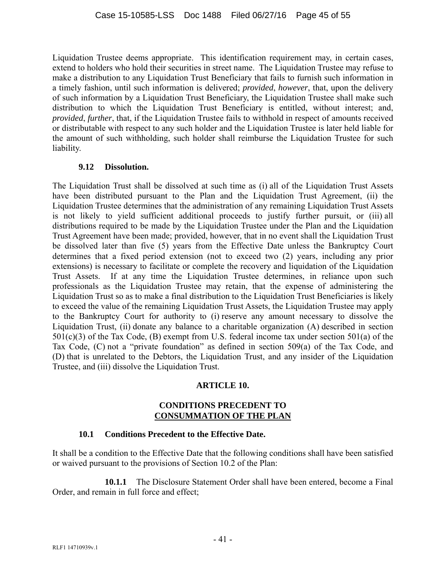Liquidation Trustee deems appropriate. This identification requirement may, in certain cases, extend to holders who hold their securities in street name. The Liquidation Trustee may refuse to make a distribution to any Liquidation Trust Beneficiary that fails to furnish such information in a timely fashion, until such information is delivered; *provided*, *however*, that, upon the delivery of such information by a Liquidation Trust Beneficiary, the Liquidation Trustee shall make such distribution to which the Liquidation Trust Beneficiary is entitled, without interest; and, *provided*, *further*, that, if the Liquidation Trustee fails to withhold in respect of amounts received or distributable with respect to any such holder and the Liquidation Trustee is later held liable for the amount of such withholding, such holder shall reimburse the Liquidation Trustee for such liability.

## **9.12 Dissolution.**

The Liquidation Trust shall be dissolved at such time as (i) all of the Liquidation Trust Assets have been distributed pursuant to the Plan and the Liquidation Trust Agreement, (ii) the Liquidation Trustee determines that the administration of any remaining Liquidation Trust Assets is not likely to yield sufficient additional proceeds to justify further pursuit, or (iii) all distributions required to be made by the Liquidation Trustee under the Plan and the Liquidation Trust Agreement have been made; provided, however, that in no event shall the Liquidation Trust be dissolved later than five (5) years from the Effective Date unless the Bankruptcy Court determines that a fixed period extension (not to exceed two (2) years, including any prior extensions) is necessary to facilitate or complete the recovery and liquidation of the Liquidation Trust Assets. If at any time the Liquidation Trustee determines, in reliance upon such professionals as the Liquidation Trustee may retain, that the expense of administering the Liquidation Trust so as to make a final distribution to the Liquidation Trust Beneficiaries is likely to exceed the value of the remaining Liquidation Trust Assets, the Liquidation Trustee may apply to the Bankruptcy Court for authority to (i) reserve any amount necessary to dissolve the Liquidation Trust, (ii) donate any balance to a charitable organization (A) described in section 501(c)(3) of the Tax Code, (B) exempt from U.S. federal income tax under section 501(a) of the Tax Code, (C) not a "private foundation" as defined in section 509(a) of the Tax Code, and (D) that is unrelated to the Debtors, the Liquidation Trust, and any insider of the Liquidation Trustee, and (iii) dissolve the Liquidation Trust.

## **ARTICLE 10.**

#### **CONDITIONS PRECEDENT TO CONSUMMATION OF THE PLAN**

## **10.1 Conditions Precedent to the Effective Date.**

It shall be a condition to the Effective Date that the following conditions shall have been satisfied or waived pursuant to the provisions of Section 10.2 of the Plan:

**10.1.1** The Disclosure Statement Order shall have been entered, become a Final Order, and remain in full force and effect;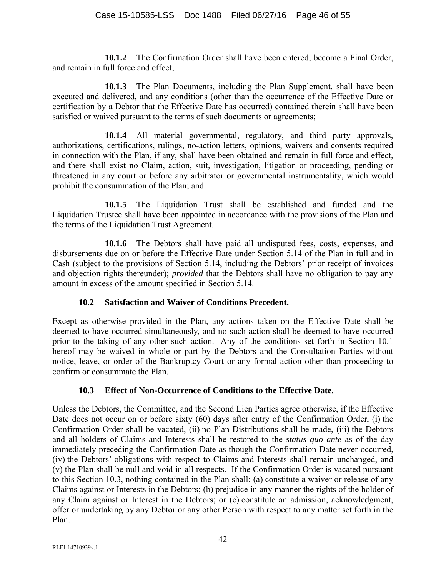**10.1.2** The Confirmation Order shall have been entered, become a Final Order, and remain in full force and effect;

**10.1.3** The Plan Documents, including the Plan Supplement, shall have been executed and delivered, and any conditions (other than the occurrence of the Effective Date or certification by a Debtor that the Effective Date has occurred) contained therein shall have been satisfied or waived pursuant to the terms of such documents or agreements;

**10.1.4** All material governmental, regulatory, and third party approvals, authorizations, certifications, rulings, no-action letters, opinions, waivers and consents required in connection with the Plan, if any, shall have been obtained and remain in full force and effect, and there shall exist no Claim, action, suit, investigation, litigation or proceeding, pending or threatened in any court or before any arbitrator or governmental instrumentality, which would prohibit the consummation of the Plan; and

**10.1.5** The Liquidation Trust shall be established and funded and the Liquidation Trustee shall have been appointed in accordance with the provisions of the Plan and the terms of the Liquidation Trust Agreement.

**10.1.6** The Debtors shall have paid all undisputed fees, costs, expenses, and disbursements due on or before the Effective Date under Section 5.14 of the Plan in full and in Cash (subject to the provisions of Section 5.14, including the Debtors' prior receipt of invoices and objection rights thereunder); *provided* that the Debtors shall have no obligation to pay any amount in excess of the amount specified in Section 5.14.

## **10.2 Satisfaction and Waiver of Conditions Precedent.**

Except as otherwise provided in the Plan, any actions taken on the Effective Date shall be deemed to have occurred simultaneously, and no such action shall be deemed to have occurred prior to the taking of any other such action. Any of the conditions set forth in Section 10.1 hereof may be waived in whole or part by the Debtors and the Consultation Parties without notice, leave, or order of the Bankruptcy Court or any formal action other than proceeding to confirm or consummate the Plan.

# **10.3 Effect of Non-Occurrence of Conditions to the Effective Date.**

Unless the Debtors, the Committee, and the Second Lien Parties agree otherwise, if the Effective Date does not occur on or before sixty (60) days after entry of the Confirmation Order, (i) the Confirmation Order shall be vacated, (ii) no Plan Distributions shall be made, (iii) the Debtors and all holders of Claims and Interests shall be restored to the *status quo ante* as of the day immediately preceding the Confirmation Date as though the Confirmation Date never occurred, (iv) the Debtors' obligations with respect to Claims and Interests shall remain unchanged, and (v) the Plan shall be null and void in all respects. If the Confirmation Order is vacated pursuant to this Section 10.3, nothing contained in the Plan shall: (a) constitute a waiver or release of any Claims against or Interests in the Debtors; (b) prejudice in any manner the rights of the holder of any Claim against or Interest in the Debtors; or (c) constitute an admission, acknowledgment, offer or undertaking by any Debtor or any other Person with respect to any matter set forth in the Plan.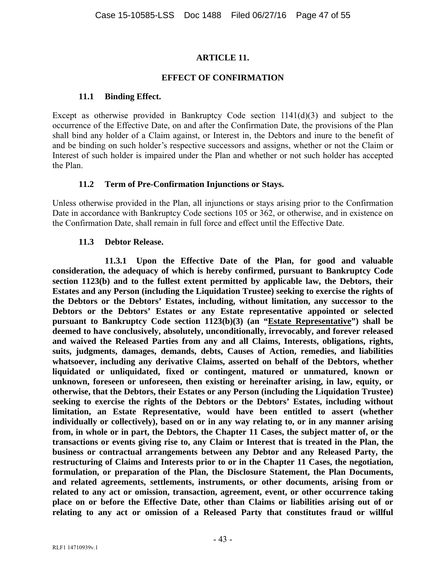## **ARTICLE 11.**

#### **EFFECT OF CONFIRMATION**

#### **11.1 Binding Effect.**

Except as otherwise provided in Bankruptcy Code section 1141(d)(3) and subject to the occurrence of the Effective Date, on and after the Confirmation Date, the provisions of the Plan shall bind any holder of a Claim against, or Interest in, the Debtors and inure to the benefit of and be binding on such holder's respective successors and assigns, whether or not the Claim or Interest of such holder is impaired under the Plan and whether or not such holder has accepted the Plan.

## **11.2 Term of Pre-Confirmation Injunctions or Stays.**

Unless otherwise provided in the Plan, all injunctions or stays arising prior to the Confirmation Date in accordance with Bankruptcy Code sections 105 or 362, or otherwise, and in existence on the Confirmation Date, shall remain in full force and effect until the Effective Date.

#### **11.3 Debtor Release.**

**11.3.1 Upon the Effective Date of the Plan, for good and valuable consideration, the adequacy of which is hereby confirmed, pursuant to Bankruptcy Code section 1123(b) and to the fullest extent permitted by applicable law, the Debtors, their Estates and any Person (including the Liquidation Trustee) seeking to exercise the rights of the Debtors or the Debtors' Estates, including, without limitation, any successor to the Debtors or the Debtors' Estates or any Estate representative appointed or selected pursuant to Bankruptcy Code section 1123(b)(3) (an "Estate Representative") shall be deemed to have conclusively, absolutely, unconditionally, irrevocably, and forever released and waived the Released Parties from any and all Claims, Interests, obligations, rights, suits, judgments, damages, demands, debts, Causes of Action, remedies, and liabilities whatsoever, including any derivative Claims, asserted on behalf of the Debtors, whether liquidated or unliquidated, fixed or contingent, matured or unmatured, known or unknown, foreseen or unforeseen, then existing or hereinafter arising, in law, equity, or otherwise, that the Debtors, their Estates or any Person (including the Liquidation Trustee) seeking to exercise the rights of the Debtors or the Debtors' Estates, including without limitation, an Estate Representative, would have been entitled to assert (whether individually or collectively), based on or in any way relating to, or in any manner arising from, in whole or in part, the Debtors, the Chapter 11 Cases, the subject matter of, or the transactions or events giving rise to, any Claim or Interest that is treated in the Plan, the business or contractual arrangements between any Debtor and any Released Party, the restructuring of Claims and Interests prior to or in the Chapter 11 Cases, the negotiation, formulation, or preparation of the Plan, the Disclosure Statement, the Plan Documents, and related agreements, settlements, instruments, or other documents, arising from or related to any act or omission, transaction, agreement, event, or other occurrence taking place on or before the Effective Date, other than Claims or liabilities arising out of or relating to any act or omission of a Released Party that constitutes fraud or willful**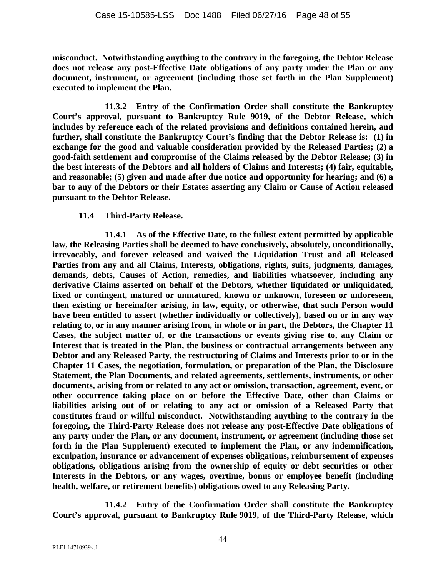**misconduct. Notwithstanding anything to the contrary in the foregoing, the Debtor Release does not release any post-Effective Date obligations of any party under the Plan or any document, instrument, or agreement (including those set forth in the Plan Supplement) executed to implement the Plan.** 

**11.3.2 Entry of the Confirmation Order shall constitute the Bankruptcy Court's approval, pursuant to Bankruptcy Rule 9019, of the Debtor Release, which includes by reference each of the related provisions and definitions contained herein, and**  further, shall constitute the Bankruptcy Court's finding that the Debtor Release is: (1) in **exchange for the good and valuable consideration provided by the Released Parties; (2) a good-faith settlement and compromise of the Claims released by the Debtor Release; (3) in the best interests of the Debtors and all holders of Claims and Interests; (4) fair, equitable, and reasonable; (5) given and made after due notice and opportunity for hearing; and (6) a bar to any of the Debtors or their Estates asserting any Claim or Cause of Action released pursuant to the Debtor Release.** 

#### **11.4 Third-Party Release.**

**11.4.1 As of the Effective Date, to the fullest extent permitted by applicable law, the Releasing Parties shall be deemed to have conclusively, absolutely, unconditionally, irrevocably, and forever released and waived the Liquidation Trust and all Released Parties from any and all Claims, Interests, obligations, rights, suits, judgments, damages, demands, debts, Causes of Action, remedies, and liabilities whatsoever, including any derivative Claims asserted on behalf of the Debtors, whether liquidated or unliquidated, fixed or contingent, matured or unmatured, known or unknown, foreseen or unforeseen, then existing or hereinafter arising, in law, equity, or otherwise, that such Person would have been entitled to assert (whether individually or collectively), based on or in any way relating to, or in any manner arising from, in whole or in part, the Debtors, the Chapter 11 Cases, the subject matter of, or the transactions or events giving rise to, any Claim or Interest that is treated in the Plan, the business or contractual arrangements between any Debtor and any Released Party, the restructuring of Claims and Interests prior to or in the Chapter 11 Cases, the negotiation, formulation, or preparation of the Plan, the Disclosure Statement, the Plan Documents, and related agreements, settlements, instruments, or other documents, arising from or related to any act or omission, transaction, agreement, event, or other occurrence taking place on or before the Effective Date, other than Claims or liabilities arising out of or relating to any act or omission of a Released Party that constitutes fraud or willful misconduct. Notwithstanding anything to the contrary in the foregoing, the Third-Party Release does not release any post-Effective Date obligations of any party under the Plan, or any document, instrument, or agreement (including those set forth in the Plan Supplement) executed to implement the Plan, or any indemnification, exculpation, insurance or advancement of expenses obligations, reimbursement of expenses obligations, obligations arising from the ownership of equity or debt securities or other Interests in the Debtors, or any wages, overtime, bonus or employee benefit (including health, welfare, or retirement benefits) obligations owed to any Releasing Party.** 

**11.4.2 Entry of the Confirmation Order shall constitute the Bankruptcy Court's approval, pursuant to Bankruptcy Rule 9019, of the Third-Party Release, which**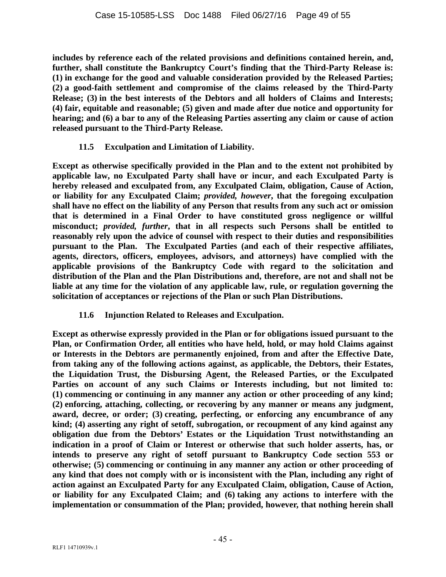**includes by reference each of the related provisions and definitions contained herein, and,**  further, shall constitute the Bankruptcy Court's finding that the Third-Party Release is: **(1) in exchange for the good and valuable consideration provided by the Released Parties; (2) a good-faith settlement and compromise of the claims released by the Third-Party Release; (3) in the best interests of the Debtors and all holders of Claims and Interests; (4) fair, equitable and reasonable; (5) given and made after due notice and opportunity for hearing; and (6) a bar to any of the Releasing Parties asserting any claim or cause of action released pursuant to the Third-Party Release.** 

## **11.5 Exculpation and Limitation of Liability.**

**Except as otherwise specifically provided in the Plan and to the extent not prohibited by applicable law, no Exculpated Party shall have or incur, and each Exculpated Party is hereby released and exculpated from, any Exculpated Claim, obligation, Cause of Action, or liability for any Exculpated Claim;** *provided, however***, that the foregoing exculpation shall have no effect on the liability of any Person that results from any such act or omission that is determined in a Final Order to have constituted gross negligence or willful misconduct;** *provided, further***, that in all respects such Persons shall be entitled to reasonably rely upon the advice of counsel with respect to their duties and responsibilities pursuant to the Plan. The Exculpated Parties (and each of their respective affiliates, agents, directors, officers, employees, advisors, and attorneys) have complied with the applicable provisions of the Bankruptcy Code with regard to the solicitation and distribution of the Plan and the Plan Distributions and, therefore, are not and shall not be liable at any time for the violation of any applicable law, rule, or regulation governing the solicitation of acceptances or rejections of the Plan or such Plan Distributions.**

## **11.6 Injunction Related to Releases and Exculpation.**

**Except as otherwise expressly provided in the Plan or for obligations issued pursuant to the Plan, or Confirmation Order, all entities who have held, hold, or may hold Claims against or Interests in the Debtors are permanently enjoined, from and after the Effective Date, from taking any of the following actions against, as applicable, the Debtors, their Estates, the Liquidation Trust, the Disbursing Agent, the Released Parties, or the Exculpated Parties on account of any such Claims or Interests including, but not limited to: (1) commencing or continuing in any manner any action or other proceeding of any kind; (2) enforcing, attaching, collecting, or recovering by any manner or means any judgment, award, decree, or order; (3) creating, perfecting, or enforcing any encumbrance of any kind; (4) asserting any right of setoff, subrogation, or recoupment of any kind against any obligation due from the Debtors' Estates or the Liquidation Trust notwithstanding an indication in a proof of Claim or Interest or otherwise that such holder asserts, has, or intends to preserve any right of setoff pursuant to Bankruptcy Code section 553 or otherwise; (5) commencing or continuing in any manner any action or other proceeding of any kind that does not comply with or is inconsistent with the Plan, including any right of action against an Exculpated Party for any Exculpated Claim, obligation, Cause of Action, or liability for any Exculpated Claim; and (6) taking any actions to interfere with the implementation or consummation of the Plan; provided, however, that nothing herein shall**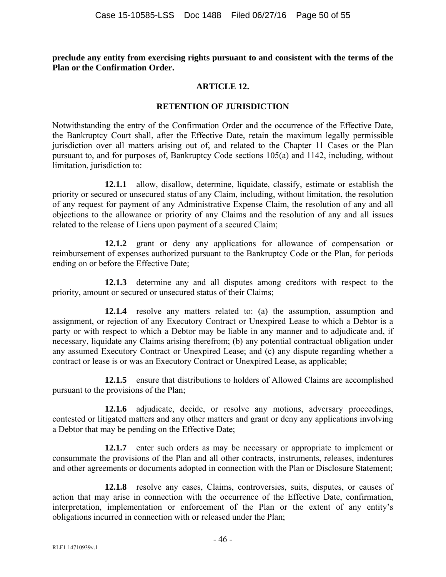**preclude any entity from exercising rights pursuant to and consistent with the terms of the Plan or the Confirmation Order.** 

#### **ARTICLE 12.**

#### **RETENTION OF JURISDICTION**

Notwithstanding the entry of the Confirmation Order and the occurrence of the Effective Date, the Bankruptcy Court shall, after the Effective Date, retain the maximum legally permissible jurisdiction over all matters arising out of, and related to the Chapter 11 Cases or the Plan pursuant to, and for purposes of, Bankruptcy Code sections 105(a) and 1142, including, without limitation, jurisdiction to:

**12.1.1** allow, disallow, determine, liquidate, classify, estimate or establish the priority or secured or unsecured status of any Claim, including, without limitation, the resolution of any request for payment of any Administrative Expense Claim, the resolution of any and all objections to the allowance or priority of any Claims and the resolution of any and all issues related to the release of Liens upon payment of a secured Claim;

**12.1.2** grant or deny any applications for allowance of compensation or reimbursement of expenses authorized pursuant to the Bankruptcy Code or the Plan, for periods ending on or before the Effective Date;

**12.1.3** determine any and all disputes among creditors with respect to the priority, amount or secured or unsecured status of their Claims;

**12.1.4** resolve any matters related to: (a) the assumption, assumption and assignment, or rejection of any Executory Contract or Unexpired Lease to which a Debtor is a party or with respect to which a Debtor may be liable in any manner and to adjudicate and, if necessary, liquidate any Claims arising therefrom; (b) any potential contractual obligation under any assumed Executory Contract or Unexpired Lease; and (c) any dispute regarding whether a contract or lease is or was an Executory Contract or Unexpired Lease, as applicable;

**12.1.5** ensure that distributions to holders of Allowed Claims are accomplished pursuant to the provisions of the Plan;

**12.1.6** adjudicate, decide, or resolve any motions, adversary proceedings, contested or litigated matters and any other matters and grant or deny any applications involving a Debtor that may be pending on the Effective Date;

**12.1.7** enter such orders as may be necessary or appropriate to implement or consummate the provisions of the Plan and all other contracts, instruments, releases, indentures and other agreements or documents adopted in connection with the Plan or Disclosure Statement;

**12.1.8** resolve any cases, Claims, controversies, suits, disputes, or causes of action that may arise in connection with the occurrence of the Effective Date, confirmation, interpretation, implementation or enforcement of the Plan or the extent of any entity's obligations incurred in connection with or released under the Plan;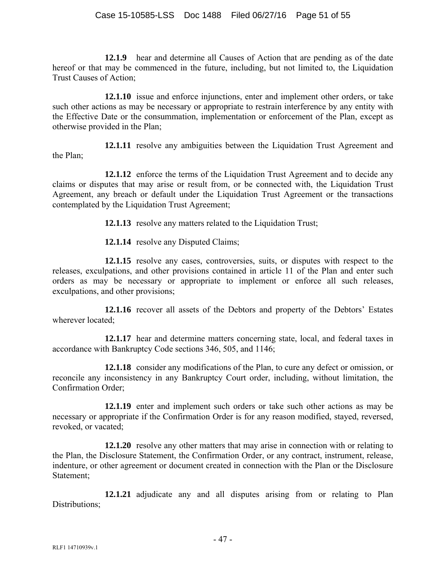**12.1.9** hear and determine all Causes of Action that are pending as of the date hereof or that may be commenced in the future, including, but not limited to, the Liquidation Trust Causes of Action;

**12.1.10** issue and enforce injunctions, enter and implement other orders, or take such other actions as may be necessary or appropriate to restrain interference by any entity with the Effective Date or the consummation, implementation or enforcement of the Plan, except as otherwise provided in the Plan;

**12.1.11** resolve any ambiguities between the Liquidation Trust Agreement and the Plan;

**12.1.12** enforce the terms of the Liquidation Trust Agreement and to decide any claims or disputes that may arise or result from, or be connected with, the Liquidation Trust Agreement, any breach or default under the Liquidation Trust Agreement or the transactions contemplated by the Liquidation Trust Agreement;

**12.1.13** resolve any matters related to the Liquidation Trust;

**12.1.14** resolve any Disputed Claims;

**12.1.15** resolve any cases, controversies, suits, or disputes with respect to the releases, exculpations, and other provisions contained in article 11 of the Plan and enter such orders as may be necessary or appropriate to implement or enforce all such releases, exculpations, and other provisions;

**12.1.16** recover all assets of the Debtors and property of the Debtors' Estates wherever located;

**12.1.17** hear and determine matters concerning state, local, and federal taxes in accordance with Bankruptcy Code sections 346, 505, and 1146;

**12.1.18** consider any modifications of the Plan, to cure any defect or omission, or reconcile any inconsistency in any Bankruptcy Court order, including, without limitation, the Confirmation Order;

**12.1.19** enter and implement such orders or take such other actions as may be necessary or appropriate if the Confirmation Order is for any reason modified, stayed, reversed, revoked, or vacated;

**12.1.20** resolve any other matters that may arise in connection with or relating to the Plan, the Disclosure Statement, the Confirmation Order, or any contract, instrument, release, indenture, or other agreement or document created in connection with the Plan or the Disclosure Statement;

**12.1.21** adjudicate any and all disputes arising from or relating to Plan Distributions;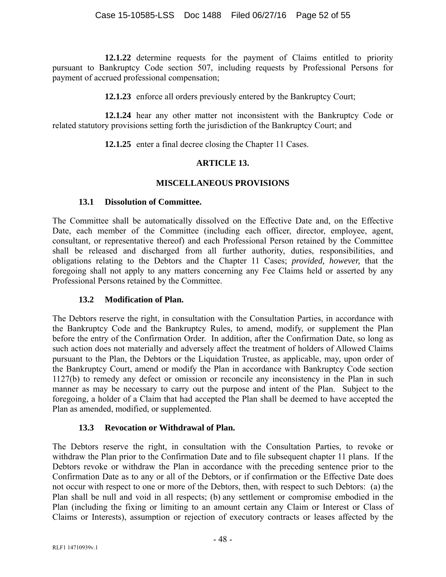**12.1.22** determine requests for the payment of Claims entitled to priority pursuant to Bankruptcy Code section 507, including requests by Professional Persons for payment of accrued professional compensation;

**12.1.23** enforce all orders previously entered by the Bankruptcy Court;

**12.1.24** hear any other matter not inconsistent with the Bankruptcy Code or related statutory provisions setting forth the jurisdiction of the Bankruptcy Court; and

**12.1.25** enter a final decree closing the Chapter 11 Cases.

# **ARTICLE 13.**

## **MISCELLANEOUS PROVISIONS**

## **13.1 Dissolution of Committee.**

The Committee shall be automatically dissolved on the Effective Date and, on the Effective Date, each member of the Committee (including each officer, director, employee, agent, consultant, or representative thereof) and each Professional Person retained by the Committee shall be released and discharged from all further authority, duties, responsibilities, and obligations relating to the Debtors and the Chapter 11 Cases; *provided, however,* that the foregoing shall not apply to any matters concerning any Fee Claims held or asserted by any Professional Persons retained by the Committee.

## **13.2 Modification of Plan.**

The Debtors reserve the right, in consultation with the Consultation Parties, in accordance with the Bankruptcy Code and the Bankruptcy Rules, to amend, modify, or supplement the Plan before the entry of the Confirmation Order. In addition, after the Confirmation Date, so long as such action does not materially and adversely affect the treatment of holders of Allowed Claims pursuant to the Plan, the Debtors or the Liquidation Trustee, as applicable, may, upon order of the Bankruptcy Court, amend or modify the Plan in accordance with Bankruptcy Code section 1127(b) to remedy any defect or omission or reconcile any inconsistency in the Plan in such manner as may be necessary to carry out the purpose and intent of the Plan. Subject to the foregoing, a holder of a Claim that had accepted the Plan shall be deemed to have accepted the Plan as amended, modified, or supplemented.

# **13.3 Revocation or Withdrawal of Plan.**

The Debtors reserve the right, in consultation with the Consultation Parties, to revoke or withdraw the Plan prior to the Confirmation Date and to file subsequent chapter 11 plans. If the Debtors revoke or withdraw the Plan in accordance with the preceding sentence prior to the Confirmation Date as to any or all of the Debtors, or if confirmation or the Effective Date does not occur with respect to one or more of the Debtors, then, with respect to such Debtors: (a) the Plan shall be null and void in all respects; (b) any settlement or compromise embodied in the Plan (including the fixing or limiting to an amount certain any Claim or Interest or Class of Claims or Interests), assumption or rejection of executory contracts or leases affected by the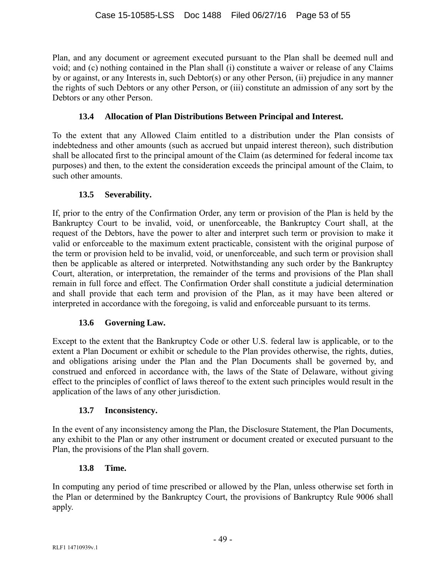Plan, and any document or agreement executed pursuant to the Plan shall be deemed null and void; and (c) nothing contained in the Plan shall (i) constitute a waiver or release of any Claims by or against, or any Interests in, such Debtor(s) or any other Person, (ii) prejudice in any manner the rights of such Debtors or any other Person, or (iii) constitute an admission of any sort by the Debtors or any other Person.

# **13.4 Allocation of Plan Distributions Between Principal and Interest.**

To the extent that any Allowed Claim entitled to a distribution under the Plan consists of indebtedness and other amounts (such as accrued but unpaid interest thereon), such distribution shall be allocated first to the principal amount of the Claim (as determined for federal income tax purposes) and then, to the extent the consideration exceeds the principal amount of the Claim, to such other amounts.

# **13.5 Severability.**

If, prior to the entry of the Confirmation Order, any term or provision of the Plan is held by the Bankruptcy Court to be invalid, void, or unenforceable, the Bankruptcy Court shall, at the request of the Debtors, have the power to alter and interpret such term or provision to make it valid or enforceable to the maximum extent practicable, consistent with the original purpose of the term or provision held to be invalid, void, or unenforceable, and such term or provision shall then be applicable as altered or interpreted. Notwithstanding any such order by the Bankruptcy Court, alteration, or interpretation, the remainder of the terms and provisions of the Plan shall remain in full force and effect. The Confirmation Order shall constitute a judicial determination and shall provide that each term and provision of the Plan, as it may have been altered or interpreted in accordance with the foregoing, is valid and enforceable pursuant to its terms.

# **13.6 Governing Law.**

Except to the extent that the Bankruptcy Code or other U.S. federal law is applicable, or to the extent a Plan Document or exhibit or schedule to the Plan provides otherwise, the rights, duties, and obligations arising under the Plan and the Plan Documents shall be governed by, and construed and enforced in accordance with, the laws of the State of Delaware, without giving effect to the principles of conflict of laws thereof to the extent such principles would result in the application of the laws of any other jurisdiction.

# **13.7 Inconsistency.**

In the event of any inconsistency among the Plan, the Disclosure Statement, the Plan Documents, any exhibit to the Plan or any other instrument or document created or executed pursuant to the Plan, the provisions of the Plan shall govern.

# **13.8 Time.**

In computing any period of time prescribed or allowed by the Plan, unless otherwise set forth in the Plan or determined by the Bankruptcy Court, the provisions of Bankruptcy Rule 9006 shall apply.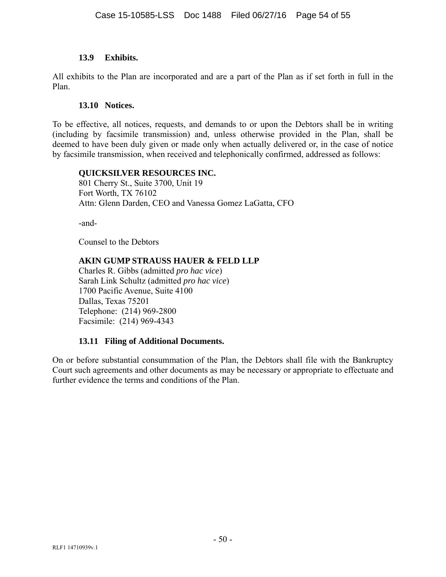#### **13.9 Exhibits.**

All exhibits to the Plan are incorporated and are a part of the Plan as if set forth in full in the Plan.

#### **13.10 Notices.**

To be effective, all notices, requests, and demands to or upon the Debtors shall be in writing (including by facsimile transmission) and, unless otherwise provided in the Plan, shall be deemed to have been duly given or made only when actually delivered or, in the case of notice by facsimile transmission, when received and telephonically confirmed, addressed as follows:

#### **QUICKSILVER RESOURCES INC.**

801 Cherry St., Suite 3700, Unit 19 Fort Worth, TX 76102 Attn: Glenn Darden, CEO and Vanessa Gomez LaGatta, CFO

-and-

Counsel to the Debtors

#### **AKIN GUMP STRAUSS HAUER & FELD LLP**

Charles R. Gibbs (admitted *pro hac vice*) Sarah Link Schultz (admitted *pro hac vice*) 1700 Pacific Avenue, Suite 4100 Dallas, Texas 75201 Telephone: (214) 969-2800 Facsimile: (214) 969-4343

#### **13.11 Filing of Additional Documents.**

On or before substantial consummation of the Plan, the Debtors shall file with the Bankruptcy Court such agreements and other documents as may be necessary or appropriate to effectuate and further evidence the terms and conditions of the Plan.